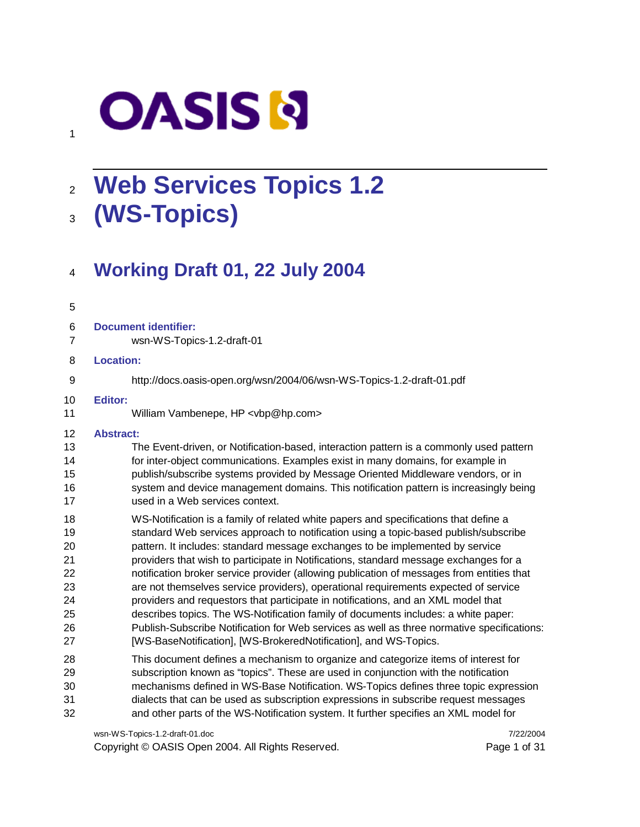# **OASIS N**

# **Web Services Topics 1.2 (WS-Topics)**

### **Working Draft 01, 22 July 2004**

#### 

- **Document identifier:**
- wsn-WS-Topics-1.2-draft-01

#### **Location:**

#### http://docs.oasis-open.org/wsn/2004/06/wsn-WS-Topics-1.2-draft-01.pdf

#### **Editor:**

William Vambenepe, HP <vbp@hp.com>

#### **Abstract:**

- The Event-driven, or Notification-based, interaction pattern is a commonly used pattern for inter-object communications. Examples exist in many domains, for example in publish/subscribe systems provided by Message Oriented Middleware vendors, or in 16 system and device management domains. This notification pattern is increasingly being used in a Web services context.
- WS-Notification is a family of related white papers and specifications that define a standard Web services approach to notification using a topic-based publish/subscribe pattern. It includes: standard message exchanges to be implemented by service providers that wish to participate in Notifications, standard message exchanges for a notification broker service provider (allowing publication of messages from entities that are not themselves service providers), operational requirements expected of service providers and requestors that participate in notifications, and an XML model that describes topics. The WS-Notification family of documents includes: a white paper: Publish-Subscribe Notification for Web services as well as three normative specifications:
- [WS-BaseNotification], [WS-BrokeredNotification], and WS-Topics.
- This document defines a mechanism to organize and categorize items of interest for subscription known as "topics". These are used in conjunction with the notification mechanisms defined in WS-Base Notification. WS-Topics defines three topic expression dialects that can be used as subscription expressions in subscribe request messages and other parts of the WS-Notification system. It further specifies an XML model for

wsn-WS-Topics-1.2-draft-01.doc 7/22/2004

Copyright © OASIS Open 2004. All Rights Reserved. Page 1 of 31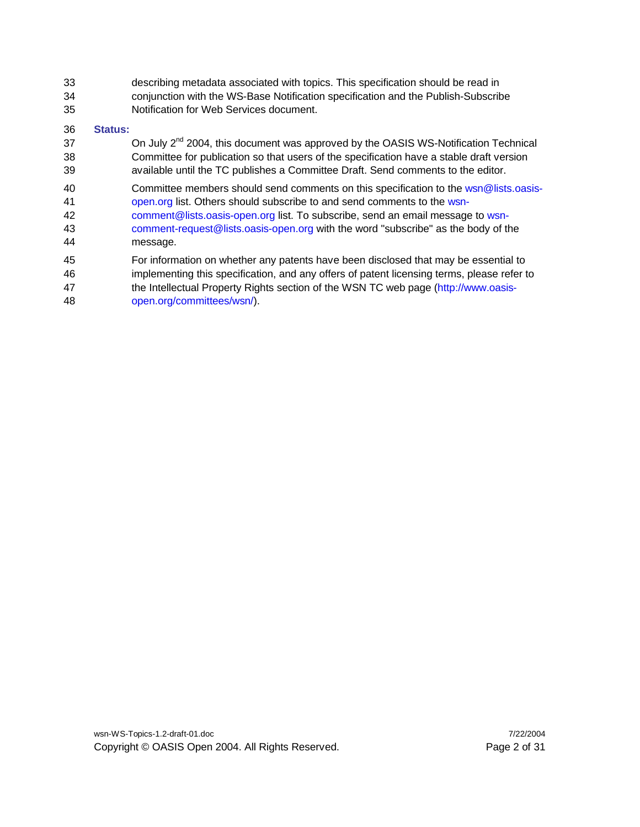describing metadata associated with topics. This specification should be read in conjunction with the WS-Base Notification specification and the Publish-Subscribe Notification for Web Services document.

#### **Status:**

- 37  $\blacksquare$  On July  $2^{nd}$  2004, this document was approved by the OASIS WS-Notification Technical Committee for publication so that users of the specification have a stable draft version available until the TC publishes a Committee Draft. Send comments to the editor.
- Committee members should send comments on this specification to the wsn@lists.oasis-open.org list. Others should subscribe to and send comments to the wsn-
- comment@lists.oasis-open.org list. To subscribe, send an email message to wsn- comment-request@lists.oasis-open.org with the word "subscribe" as the body of the message.
- For information on whether any patents have been disclosed that may be essential to
- implementing this specification, and any offers of patent licensing terms, please refer to
- 47 the Intellectual Property Rights section of the WSN TC web page (http://www.oasis-open.org/committees/wsn/).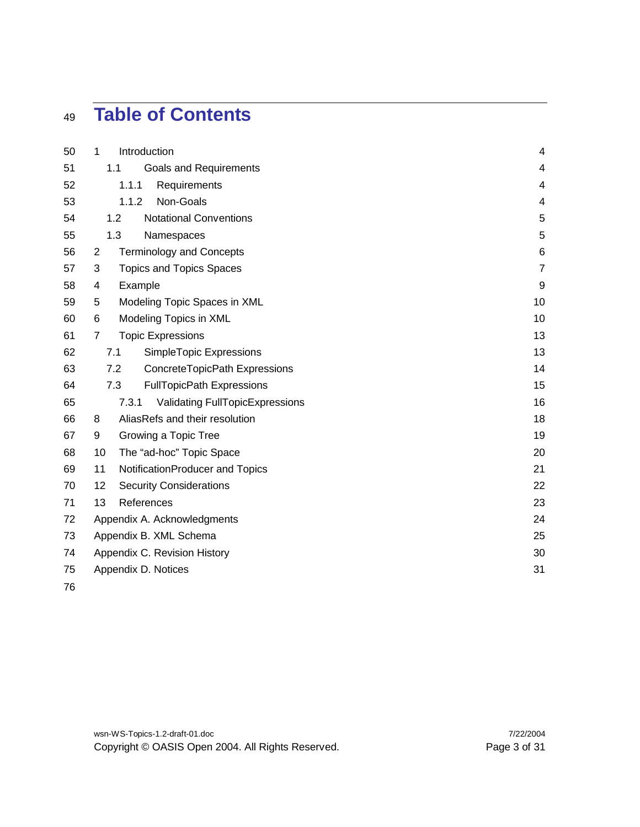# **Table of Contents**

| 50 | $\mathbf{1}$   | Introduction                            |                                 | 4                       |
|----|----------------|-----------------------------------------|---------------------------------|-------------------------|
| 51 |                | 1.1<br><b>Goals and Requirements</b>    |                                 | $\overline{\mathbf{4}}$ |
| 52 |                | 1.1.1<br>Requirements                   |                                 | 4                       |
| 53 |                | Non-Goals<br>1.1.2                      |                                 | 4                       |
| 54 |                | 1.2<br><b>Notational Conventions</b>    |                                 | 5                       |
| 55 |                | 1.3<br>Namespaces                       |                                 | 5                       |
| 56 | 2              | <b>Terminology and Concepts</b>         |                                 | $\,6$                   |
| 57 | 3              | <b>Topics and Topics Spaces</b>         |                                 | $\overline{7}$          |
| 58 | 4              | Example                                 |                                 | 9                       |
| 59 | 5              | Modeling Topic Spaces in XML            |                                 | 10                      |
| 60 | 6              | Modeling Topics in XML                  |                                 | 10                      |
| 61 | $\overline{7}$ | <b>Topic Expressions</b>                |                                 | 13                      |
| 62 |                | 7.1<br>SimpleTopic Expressions          |                                 | 13                      |
| 63 |                | 7.2<br>ConcreteTopicPath Expressions    |                                 | 14                      |
| 64 |                | 7.3<br><b>FullTopicPath Expressions</b> |                                 | 15                      |
| 65 |                | 7.3.1                                   | Validating FullTopicExpressions | 16                      |
| 66 | 8              | AliasRefs and their resolution          |                                 | 18                      |
| 67 | 9              | Growing a Topic Tree                    |                                 | 19                      |
| 68 | 10             | The "ad-hoc" Topic Space                |                                 | 20                      |
| 69 | 11             | NotificationProducer and Topics         |                                 | 21                      |
| 70 | 12             | <b>Security Considerations</b>          |                                 | 22                      |
| 71 | 13             | References                              |                                 | 23                      |
| 72 |                | Appendix A. Acknowledgments             |                                 | 24                      |
| 73 |                | Appendix B. XML Schema                  |                                 | 25                      |
| 74 |                | Appendix C. Revision History            |                                 | 30                      |
| 75 |                | Appendix D. Notices                     |                                 | 31                      |
| 76 |                |                                         |                                 |                         |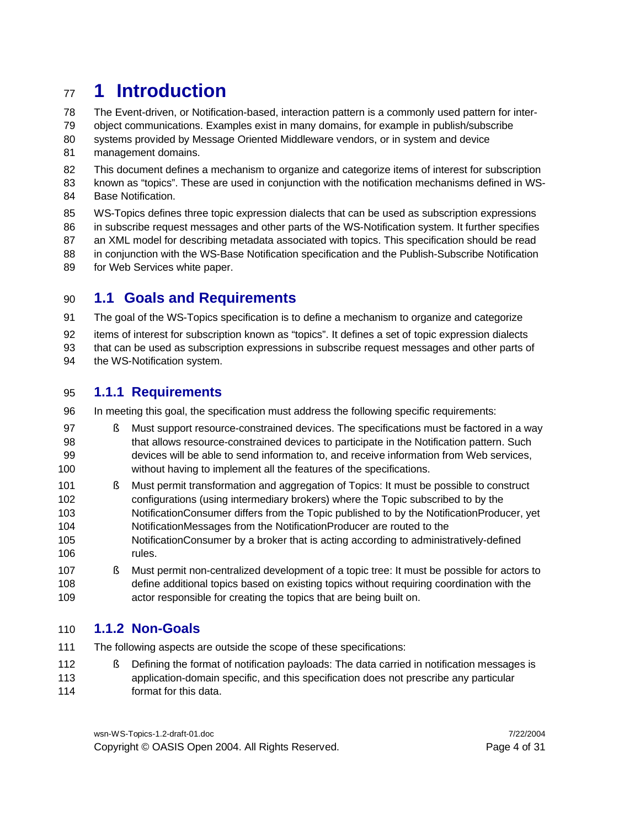#### **1 Introduction**

- The Event-driven, or Notification-based, interaction pattern is a commonly used pattern for inter-
- object communications. Examples exist in many domains, for example in publish/subscribe
- systems provided by Message Oriented Middleware vendors, or in system and device
- management domains.
- This document defines a mechanism to organize and categorize items of interest for subscription
- known as "topics". These are used in conjunction with the notification mechanisms defined in WS-Base Notification.
- WS-Topics defines three topic expression dialects that can be used as subscription expressions in subscribe request messages and other parts of the WS-Notification system. It further specifies an XML model for describing metadata associated with topics. This specification should be read
- 88 in conjunction with the WS-Base Notification specification and the Publish-Subscribe Notification
- for Web Services white paper.

#### **1.1 Goals and Requirements**

- The goal of the WS-Topics specification is to define a mechanism to organize and categorize
- items of interest for subscription known as "topics". It defines a set of topic expression dialects
- that can be used as subscription expressions in subscribe request messages and other parts of
- 94 the WS-Notification system.

#### **1.1.1 Requirements**

- In meeting this goal, the specification must address the following specific requirements:
- § Must support resource-constrained devices. The specifications must be factored in a way that allows resource-constrained devices to participate in the Notification pattern. Such devices will be able to send information to, and receive information from Web services, without having to implement all the features of the specifications.
- § Must permit transformation and aggregation of Topics: It must be possible to construct configurations (using intermediary brokers) where the Topic subscribed to by the NotificationConsumer differs from the Topic published to by the NotificationProducer, yet NotificationMessages from the NotificationProducer are routed to the
- NotificationConsumer by a broker that is acting according to administratively-defined rules.
- § Must permit non-centralized development of a topic tree: It must be possible for actors to define additional topics based on existing topics without requiring coordination with the actor responsible for creating the topics that are being built on.

#### **1.1.2 Non-Goals**

- The following aspects are outside the scope of these specifications:
- § Defining the format of notification payloads: The data carried in notification messages is application-domain specific, and this specification does not prescribe any particular format for this data.

wsn-WS-Topics-1.2-draft-01.doc 7/22/2004 Copyright © OASIS Open 2004. All Rights Reserved. Page 4 of 31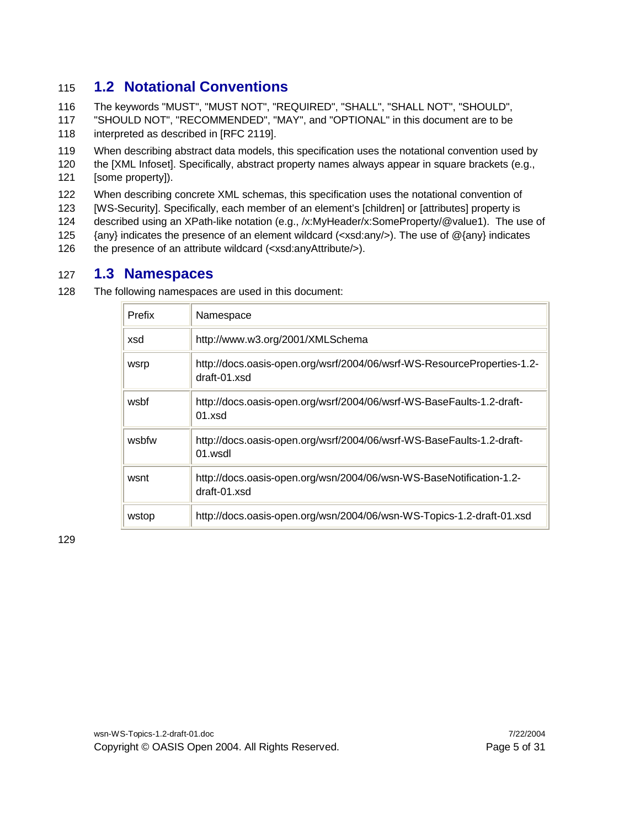#### 115 **1.2 Notational Conventions**

116 The keywords "MUST", "MUST NOT", "REQUIRED", "SHALL", "SHALL NOT", "SHOULD", 117 "SHOULD NOT", "RECOMMENDED", "MAY", and "OPTIONAL" in this document are to be 118 interpreted as described in [RFC 2119].

119 When describing abstract data models, this specification uses the notational convention used by

120 the [XML Infoset]. Specifically, abstract property names always appear in square brackets (e.g., 121 [some property]).

122 When describing concrete XML schemas, this specification uses the notational convention of

123 [WS-Security]. Specifically, each member of an element's [children] or [attributes] property is

124 described using an XPath-like notation (e.g., /x:MyHeader/x:SomeProperty/@value1). The use of

125 {any} indicates the presence of an element wildcard (<xsd:any/>). The use of @{any} indicates

126 the presence of an attribute wildcard (<xsd:anyAttribute/>).

#### 127 **1.3 Namespaces**

128 The following namespaces are used in this document:

| <b>Prefix</b> | Namespace                                                                                     |
|---------------|-----------------------------------------------------------------------------------------------|
| xsd           | http://www.w3.org/2001/XMLSchema                                                              |
| wsrp          | http://docs.oasis-open.org/wsrf/2004/06/wsrf-WS-ResourceProperties-1.2-<br>$dr$ aft-01 $xs$ d |
| wsbf          | http://docs.oasis-open.org/wsrf/2004/06/wsrf-WS-BaseFaults-1.2-draft-<br>01.xsd               |
| wsbfw         | http://docs.oasis-open.org/wsrf/2004/06/wsrf-WS-BaseFaults-1.2-draft-<br>$01$ wsdl            |
| wsnt          | http://docs.oasis-open.org/wsn/2004/06/wsn-WS-BaseNotification-1.2-<br>draft-01.xsd           |
| wstop         | http://docs.oasis-open.org/wsn/2004/06/wsn-WS-Topics-1.2-draft-01.xsd                         |

129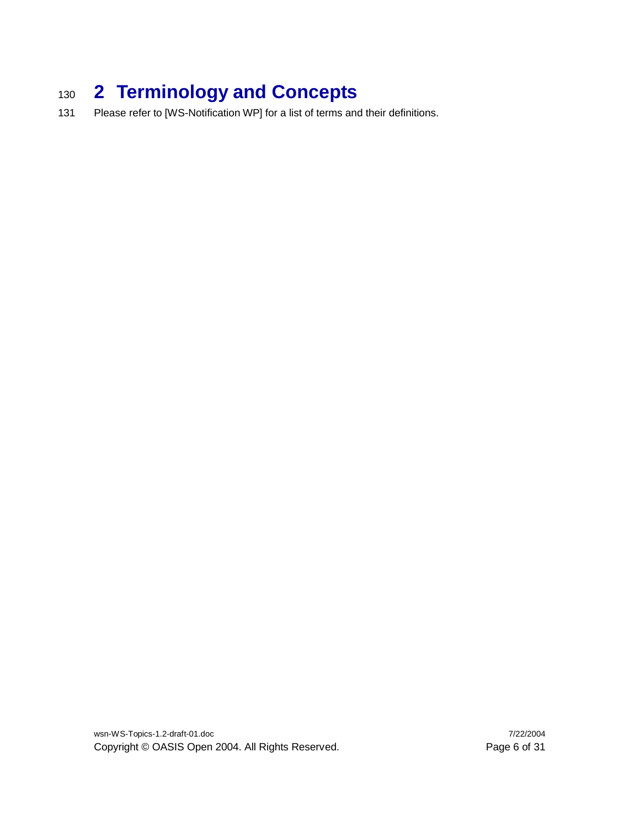# <sup>130</sup> **2 Terminology and Concepts**

131 Please refer to [WS-Notification WP] for a list of terms and their definitions.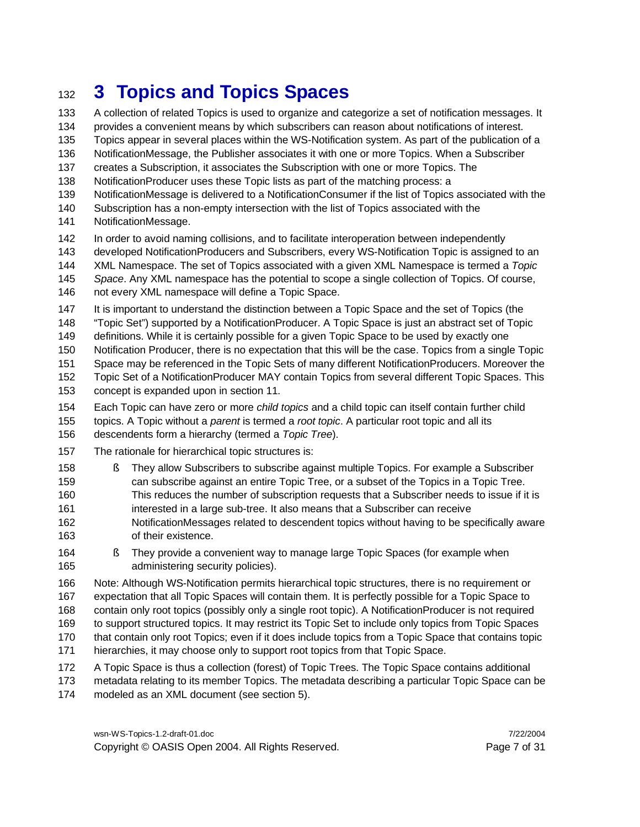### **3 Topics and Topics Spaces**

 A collection of related Topics is used to organize and categorize a set of notification messages. It provides a convenient means by which subscribers can reason about notifications of interest.

Topics appear in several places within the WS-Notification system. As part of the publication of a

NotificationMessage, the Publisher associates it with one or more Topics. When a Subscriber

creates a Subscription, it associates the Subscription with one or more Topics. The

NotificationProducer uses these Topic lists as part of the matching process: a

- NotificationMessage is delivered to a NotificationConsumer if the list of Topics associated with the
- Subscription has a non-empty intersection with the list of Topics associated with the
- NotificationMessage.
- In order to avoid naming collisions, and to facilitate interoperation between independently
- developed NotificationProducers and Subscribers, every WS-Notification Topic is assigned to an
- XML Namespace. The set of Topics associated with a given XML Namespace is termed a *Topic*
- *Space*. Any XML namespace has the potential to scope a single collection of Topics. Of course, not every XML namespace will define a Topic Space.
- 147 It is important to understand the distinction between a Topic Space and the set of Topics (the
- "Topic Set") supported by a NotificationProducer. A Topic Space is just an abstract set of Topic
- definitions. While it is certainly possible for a given Topic Space to be used by exactly one
- Notification Producer, there is no expectation that this will be the case. Topics from a single Topic
- Space may be referenced in the Topic Sets of many different NotificationProducers. Moreover the
- Topic Set of a NotificationProducer MAY contain Topics from several different Topic Spaces. This concept is expanded upon in section 11.
- Each Topic can have zero or more *child topics* and a child topic can itself contain further child
- topics. A Topic without a *parent* is termed a *root topic*. A particular root topic and all its
- descendents form a hierarchy (termed a *Topic Tree*).
- The rationale for hierarchical topic structures is:
- § They allow Subscribers to subscribe against multiple Topics. For example a Subscriber
- can subscribe against an entire Topic Tree, or a subset of the Topics in a Topic Tree. This reduces the number of subscription requests that a Subscriber needs to issue if it is
- interested in a large sub-tree. It also means that a Subscriber can receive
- NotificationMessages related to descendent topics without having to be specifically aware of their existence.
- § They provide a convenient way to manage large Topic Spaces (for example when administering security policies).
- Note: Although WS-Notification permits hierarchical topic structures, there is no requirement or expectation that all Topic Spaces will contain them. It is perfectly possible for a Topic Space to contain only root topics (possibly only a single root topic). A NotificationProducer is not required to support structured topics. It may restrict its Topic Set to include only topics from Topic Spaces that contain only root Topics; even if it does include topics from a Topic Space that contains topic hierarchies, it may choose only to support root topics from that Topic Space.
- A Topic Space is thus a collection (forest) of Topic Trees. The Topic Space contains additional
- metadata relating to its member Topics. The metadata describing a particular Topic Space can be modeled as an XML document (see section 5).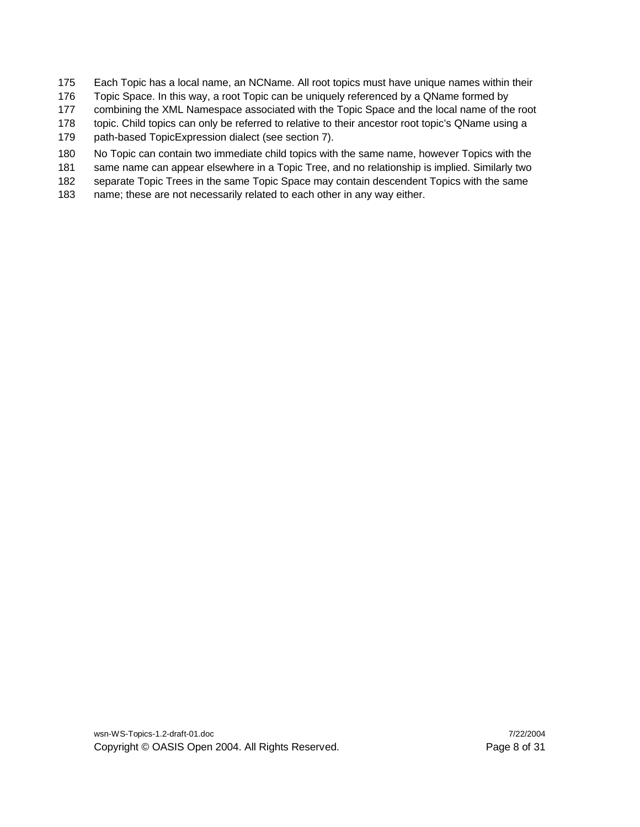- Each Topic has a local name, an NCName. All root topics must have unique names within their
- Topic Space. In this way, a root Topic can be uniquely referenced by a QName formed by
- combining the XML Namespace associated with the Topic Space and the local name of the root
- topic. Child topics can only be referred to relative to their ancestor root topic's QName using a
- path-based TopicExpression dialect (see section 7).
- No Topic can contain two immediate child topics with the same name, however Topics with the
- same name can appear elsewhere in a Topic Tree, and no relationship is implied. Similarly two
- separate Topic Trees in the same Topic Space may contain descendent Topics with the same
- name; these are not necessarily related to each other in any way either.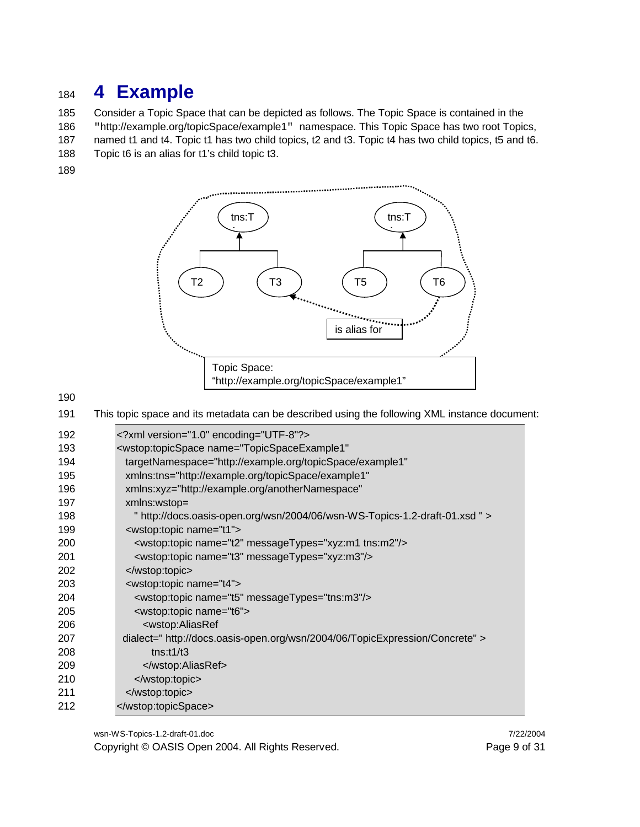### **4 Example**

 Consider a Topic Space that can be depicted as follows. The Topic Space is contained in the "http://example.org/topicSpace/example1" namespace. This Topic Space has two root Topics, named t1 and t4. Topic t1 has two child topics, t2 and t3. Topic t4 has two child topics, t5 and t6.

Topic t6 is an alias for t1's child topic t3.



This topic space and its metadata can be described using the following XML instance document:

| 192 | xml version="1.0" encoding="UTF-8"?                                          |
|-----|------------------------------------------------------------------------------|
| 193 | <wstop:topicspace <="" name="TopicSpaceExample1" td=""></wstop:topicspace>   |
| 194 | targetNamespace="http://example.org/topicSpace/example1"                     |
| 195 | xmlns:tns="http://example.org/topicSpace/example1"                           |
| 196 | xmlns:xyz="http://example.org/anotherNamespace"                              |
| 197 | xmlns:wstop=                                                                 |
| 198 | " http://docs.oasis-open.org/wsn/2004/06/wsn-WS-Topics-1.2-draft-01.xsd " >  |
| 199 | <wstop:topic name="t1"></wstop:topic>                                        |
| 200 | <wstop:topic messagetypes="xyz:m1 tns:m2" name="t2"></wstop:topic>           |
| 201 | <wstop:topic messagetypes="xyz:m3" name="t3"></wstop:topic>                  |
| 202 |                                                                              |
| 203 | <wstop:topic name="t4"></wstop:topic>                                        |
| 204 | <wstop:topic messagetypes="tns:m3" name="t5"></wstop:topic>                  |
| 205 | <wstop:topic name="t6"></wstop:topic>                                        |
| 206 | <wstop:aliasref< td=""></wstop:aliasref<>                                    |
| 207 | dialect=" http://docs.oasis-open.org/wsn/2004/06/TopicExpression/Concrete" > |
| 208 | tns:1/13                                                                     |
| 209 |                                                                              |
| 210 |                                                                              |
| 211 |                                                                              |
| 212 |                                                                              |
|     |                                                                              |

wsn-WS-Topics-1.2-draft-01.doc 7/22/2004 Copyright © OASIS Open 2004. All Rights Reserved. Page 9 of 31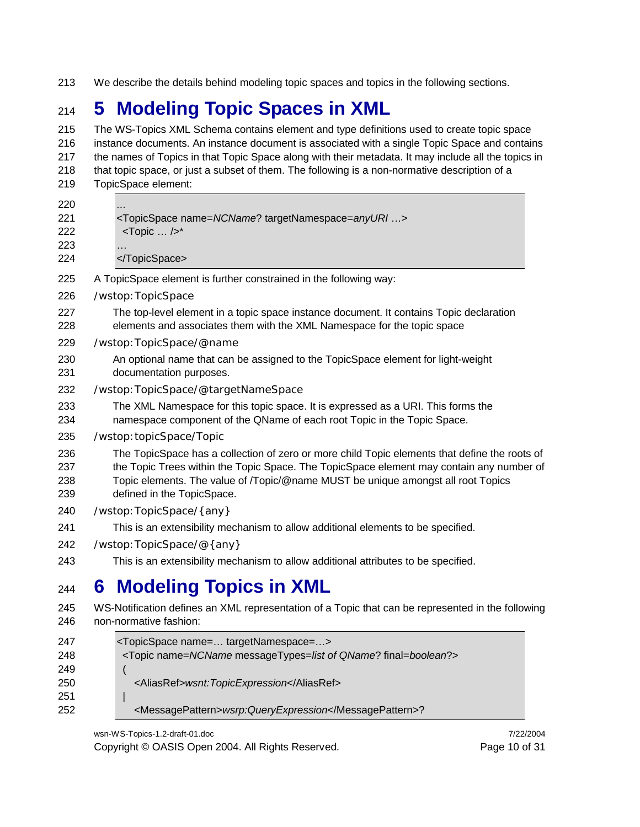We describe the details behind modeling topic spaces and topics in the following sections.

# **5 Modeling Topic Spaces in XML**

 The WS-Topics XML Schema contains element and type definitions used to create topic space instance documents. An instance document is associated with a single Topic Space and contains the names of Topics in that Topic Space along with their metadata. It may include all the topics in that topic space, or just a subset of them. The following is a non-normative description of a TopicSpace element: <TopicSpace name=*NCName*? targetNamespace=*anyURI* …> <Topic … />\* … </TopicSpace> A TopicSpace element is further constrained in the following way: /wstop:TopicSpace The top-level element in a topic space instance document. It contains Topic declaration elements and associates them with the XML Namespace for the topic space /wstop:TopicSpace/@name An optional name that can be assigned to the TopicSpace element for light-weight documentation purposes. /wstop:TopicSpace/@targetNameSpace The XML Namespace for this topic space. It is expressed as a URI. This forms the namespace component of the QName of each root Topic in the Topic Space. /wstop:topicSpace/Topic The TopicSpace has a collection of zero or more child Topic elements that define the roots of the Topic Trees within the Topic Space. The TopicSpace element may contain any number of Topic elements. The value of /Topic/@name MUST be unique amongst all root Topics defined in the TopicSpace. /wstop:TopicSpace/{any} This is an extensibility mechanism to allow additional elements to be specified. /wstop:TopicSpace/@{any} This is an extensibility mechanism to allow additional attributes to be specified. **6 Modeling Topics in XML** WS-Notification defines an XML representation of a Topic that can be represented in the following non-normative fashion: <TopicSpace name=… targetNamespace=…> <Topic name=*NCName* messageTypes=*list of QName*? final=*boolean*?> ( <AliasRef>*wsnt:TopicExpression*</AliasRef> |

<MessagePattern>*wsrp:QueryExpression*</MessagePattern>?

wsn-WS-Topics-1.2-draft-01.doc 7/22/2004

Copyright © OASIS Open 2004. All Rights Reserved. Page 10 of 31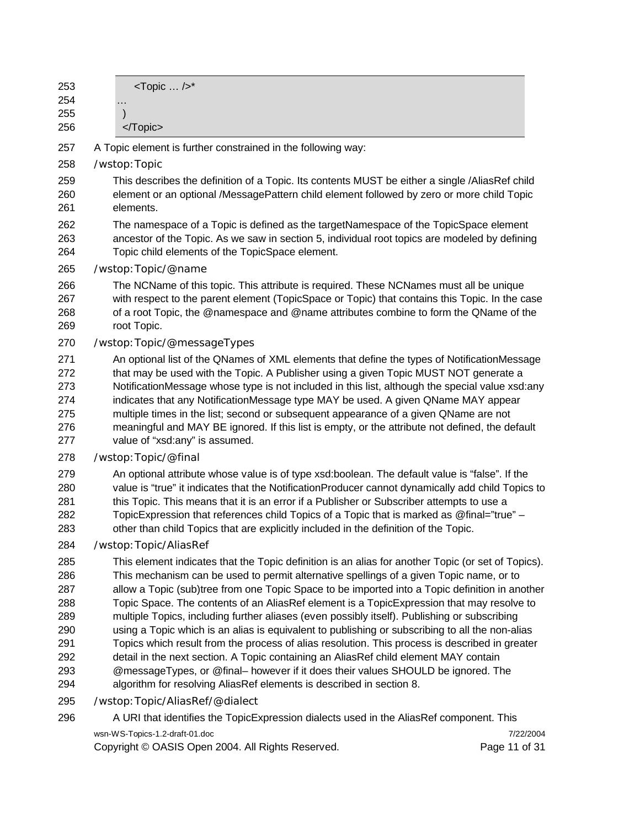| 253<br>254<br>255<br>256                      | <topic></topic> *<br>.<br>                                                                                                                                                                                                                                                                                                                                                                                                                                                                                                                                                                               |
|-----------------------------------------------|----------------------------------------------------------------------------------------------------------------------------------------------------------------------------------------------------------------------------------------------------------------------------------------------------------------------------------------------------------------------------------------------------------------------------------------------------------------------------------------------------------------------------------------------------------------------------------------------------------|
| 257                                           | A Topic element is further constrained in the following way:                                                                                                                                                                                                                                                                                                                                                                                                                                                                                                                                             |
| 258                                           | /wstop: Topic                                                                                                                                                                                                                                                                                                                                                                                                                                                                                                                                                                                            |
| 259<br>260<br>261                             | This describes the definition of a Topic. Its contents MUST be either a single /AliasRef child<br>element or an optional /MessagePattern child element followed by zero or more child Topic<br>elements.                                                                                                                                                                                                                                                                                                                                                                                                 |
| 262<br>263<br>264                             | The namespace of a Topic is defined as the targetNamespace of the TopicSpace element<br>ancestor of the Topic. As we saw in section 5, individual root topics are modeled by defining<br>Topic child elements of the TopicSpace element.                                                                                                                                                                                                                                                                                                                                                                 |
| 265                                           | /wstop: Topic/@name                                                                                                                                                                                                                                                                                                                                                                                                                                                                                                                                                                                      |
| 266<br>267<br>268<br>269                      | The NCName of this topic. This attribute is required. These NCNames must all be unique<br>with respect to the parent element (TopicSpace or Topic) that contains this Topic. In the case<br>of a root Topic, the @namespace and @name attributes combine to form the QName of the<br>root Topic.                                                                                                                                                                                                                                                                                                         |
| 270                                           | /wstop: Topic/@messageTypes                                                                                                                                                                                                                                                                                                                                                                                                                                                                                                                                                                              |
| 271<br>272<br>273<br>274<br>275<br>276<br>277 | An optional list of the QNames of XML elements that define the types of NotificationMessage<br>that may be used with the Topic. A Publisher using a given Topic MUST NOT generate a<br>NotificationMessage whose type is not included in this list, although the special value xsd:any<br>indicates that any NotificationMessage type MAY be used. A given QName MAY appear<br>multiple times in the list; second or subsequent appearance of a given QName are not<br>meaningful and MAY BE ignored. If this list is empty, or the attribute not defined, the default<br>value of "xsd:any" is assumed. |
| 278                                           | /wstop: Topic/@final                                                                                                                                                                                                                                                                                                                                                                                                                                                                                                                                                                                     |
| 279<br>280<br>281<br>282<br>283               | An optional attribute whose value is of type xsd:boolean. The default value is "false". If the<br>value is "true" it indicates that the NotificationProducer cannot dynamically add child Topics to<br>this Topic. This means that it is an error if a Publisher or Subscriber attempts to use a<br>TopicExpression that references child Topics of a Topic that is marked as @final="true" -<br>other than child Topics that are explicitly included in the definition of the Topic.                                                                                                                    |
| 284                                           | /wstop: Topic/AliasRef                                                                                                                                                                                                                                                                                                                                                                                                                                                                                                                                                                                   |
| 285<br>286                                    | This element indicates that the Topic definition is an alias for another Topic (or set of Topics).<br>This mechanism can be used to permit alternative spellings of a given Topic name, or to                                                                                                                                                                                                                                                                                                                                                                                                            |
| 287                                           | allow a Topic (sub)tree from one Topic Space to be imported into a Topic definition in another                                                                                                                                                                                                                                                                                                                                                                                                                                                                                                           |
| 288                                           | Topic Space. The contents of an AliasRef element is a TopicExpression that may resolve to                                                                                                                                                                                                                                                                                                                                                                                                                                                                                                                |
| 289<br>290                                    | multiple Topics, including further aliases (even possibly itself). Publishing or subscribing<br>using a Topic which is an alias is equivalent to publishing or subscribing to all the non-alias                                                                                                                                                                                                                                                                                                                                                                                                          |
| 291                                           | Topics which result from the process of alias resolution. This process is described in greater                                                                                                                                                                                                                                                                                                                                                                                                                                                                                                           |
| 292                                           | detail in the next section. A Topic containing an AliasRef child element MAY contain                                                                                                                                                                                                                                                                                                                                                                                                                                                                                                                     |
| 293<br>294                                    | @messageTypes, or @final- however if it does their values SHOULD be ignored. The<br>algorithm for resolving AliasRef elements is described in section 8.                                                                                                                                                                                                                                                                                                                                                                                                                                                 |
| 295                                           | /wstop: Topic/AliasRef/@dialect                                                                                                                                                                                                                                                                                                                                                                                                                                                                                                                                                                          |
| 296                                           | A URI that identifies the TopicExpression dialects used in the AliasRef component. This                                                                                                                                                                                                                                                                                                                                                                                                                                                                                                                  |

wsn-WS-Topics-1.2-draft-01.doc 7/22/2004<br>Copyright © OASIS Open 2004. All Rights Reserved. Page 11 of 31 Copyright © OASIS Open 2004. All Rights Reserved.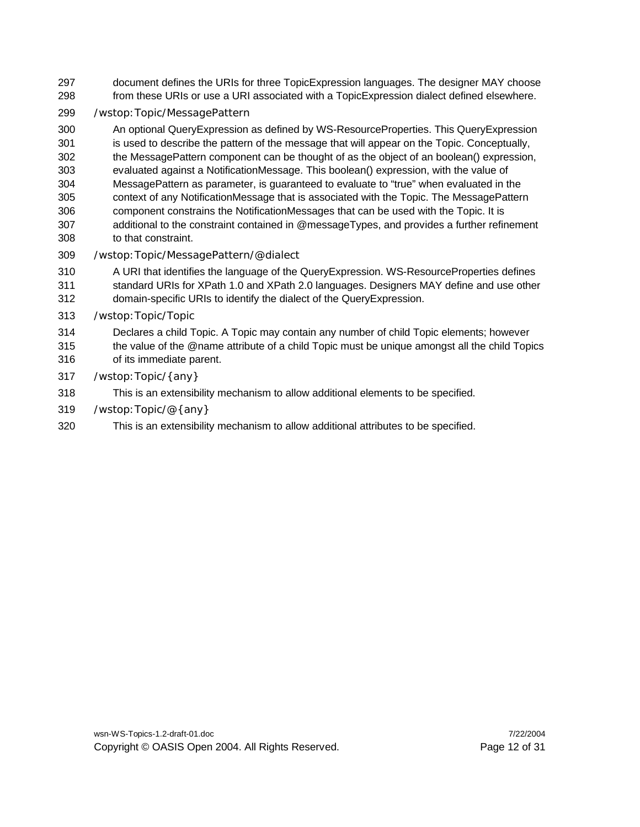- document defines the URIs for three TopicExpression languages. The designer MAY choose from these URIs or use a URI associated with a TopicExpression dialect defined elsewhere.
- /wstop:Topic/MessagePattern

 An optional QueryExpression as defined by WS-ResourceProperties. This QueryExpression is used to describe the pattern of the message that will appear on the Topic. Conceptually, the MessagePattern component can be thought of as the object of an boolean() expression, evaluated against a NotificationMessage. This boolean() expression, with the value of MessagePattern as parameter, is guaranteed to evaluate to "true" when evaluated in the context of any NotificationMessage that is associated with the Topic. The MessagePattern component constrains the NotificationMessages that can be used with the Topic. It is additional to the constraint contained in @messageTypes, and provides a further refinement to that constraint.

/wstop:Topic/MessagePattern/@dialect

 A URI that identifies the language of the QueryExpression. WS-ResourceProperties defines standard URIs for XPath 1.0 and XPath 2.0 languages. Designers MAY define and use other domain-specific URIs to identify the dialect of the QueryExpression.

- /wstop:Topic/Topic
- Declares a child Topic. A Topic may contain any number of child Topic elements; however the value of the @name attribute of a child Topic must be unique amongst all the child Topics of its immediate parent.
- 
- /wstop:Topic/{any}
- This is an extensibility mechanism to allow additional elements to be specified.
- /wstop:Topic/@{any}
- This is an extensibility mechanism to allow additional attributes to be specified.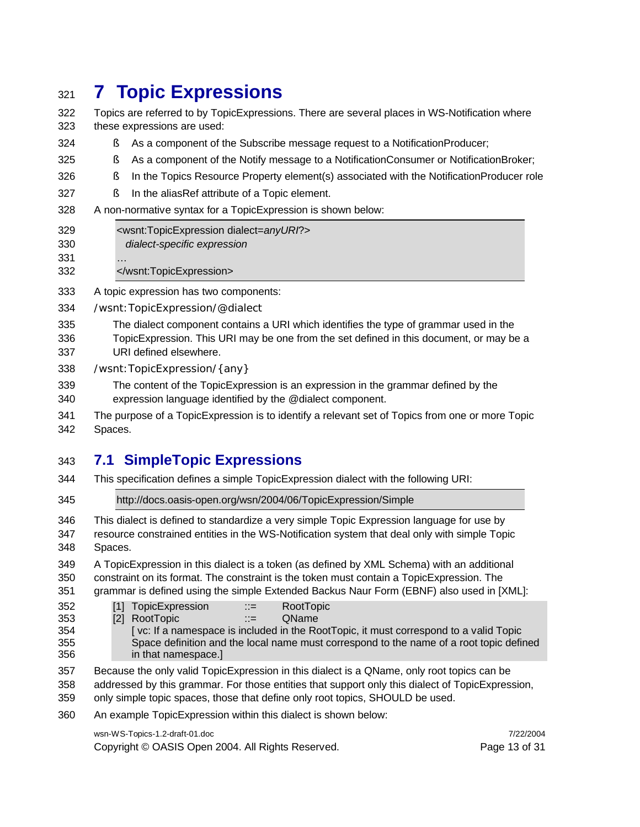### **7 Topic Expressions**

- Topics are referred to by TopicExpressions. There are several places in WS-Notification where these expressions are used:
- § As a component of the Subscribe message request to a NotificationProducer;
- § As a component of the Notify message to a NotificationConsumer or NotificationBroker;
- § In the Topics Resource Property element(s) associated with the NotificationProducer role
- § In the aliasRef attribute of a Topic element.
- A non-normative syntax for a TopicExpression is shown below:
- <wsnt:TopicExpression dialect=*anyURI*?> *dialect-specific expression*
- …
- </wsnt:TopicExpression>
- A topic expression has two components:
- /wsnt:TopicExpression/@dialect
- The dialect component contains a URI which identifies the type of grammar used in the TopicExpression. This URI may be one from the set defined in this document, or may be a URI defined elsewhere.
- /wsnt:TopicExpression/{any}
- The content of the TopicExpression is an expression in the grammar defined by the expression language identified by the @dialect component.
- The purpose of a TopicExpression is to identify a relevant set of Topics from one or more Topic Spaces.

#### **7.1 SimpleTopic Expressions**

- This specification defines a simple TopicExpression dialect with the following URI:
- http://docs.oasis-open.org/wsn/2004/06/TopicExpression/Simple
- This dialect is defined to standardize a very simple Topic Expression language for use by resource constrained entities in the WS-Notification system that deal only with simple Topic Spaces.
- A TopicExpression in this dialect is a token (as defined by XML Schema) with an additional constraint on its format. The constraint is the token must contain a TopicExpression. The
- grammar is defined using the simple Extended Backus Naur Form (EBNF) also used in [XML]:
- [1] TopicExpression ::= RootTopic
- [2] RootTopic ::= QName
- [ vc: If a namespace is included in the RootTopic, it must correspond to a valid Topic Space definition and the local name must correspond to the name of a root topic defined in that namespace.]
- Because the only valid TopicExpression in this dialect is a QName, only root topics can be
- addressed by this grammar. For those entities that support only this dialect of TopicExpression,
- only simple topic spaces, those that define only root topics, SHOULD be used.
- An example TopicExpression within this dialect is shown below:

#### wsn-WS-Topics-1.2-draft-01.doc 7/22/2004

Copyright © OASIS Open 2004. All Rights Reserved. Page 13 of 31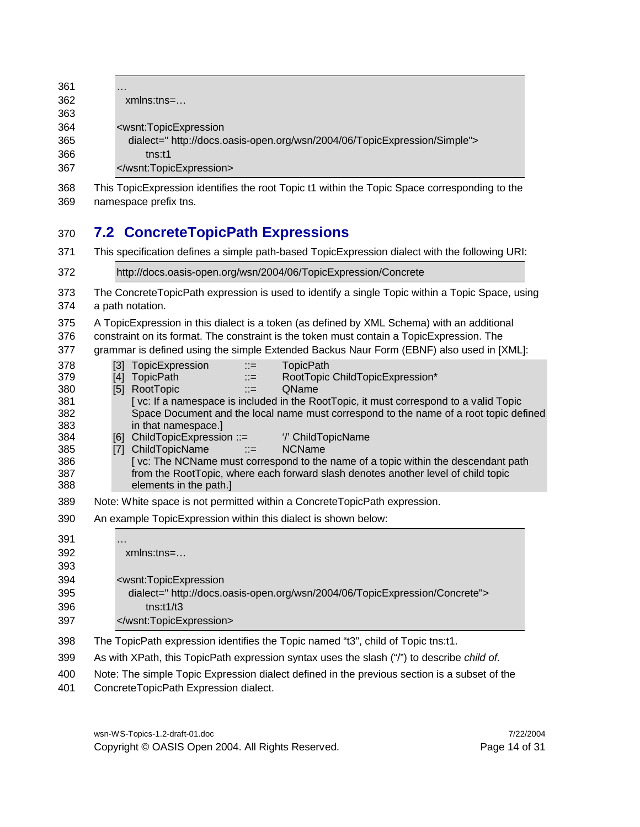| 361 | $\cdots$                                                                  |
|-----|---------------------------------------------------------------------------|
| 362 | $xmlns:tns=$                                                              |
| 363 |                                                                           |
| 364 | <wsnt:topicexpression< td=""></wsnt:topicexpression<>                     |
| 365 | dialect=" http://docs.oasis-open.org/wsn/2004/06/TopicExpression/Simple"> |
| 366 | tns:11                                                                    |
| 367 |                                                                           |

 This TopicExpression identifies the root Topic t1 within the Topic Space corresponding to the namespace prefix tns.

#### **7.2 ConcreteTopicPath Expressions**

This specification defines a simple path-based TopicExpression dialect with the following URI:

 http://docs.oasis-open.org/wsn/2004/06/TopicExpression/Concrete The ConcreteTopicPath expression is used to identify a single Topic within a Topic Space, using a path notation. A TopicExpression in this dialect is a token (as defined by XML Schema) with an additional constraint on its format. The constraint is the token must contain a TopicExpression. The grammar is defined using the simple Extended Backus Naur Form (EBNF) also used in [XML]: 378 [3] TopicExpression ::= TopicPath 379 [4] TopicPath ::= RootTopic ChildTopicExpression\* 380 [5] RootTopic ::= QName [ vc: If a namespace is included in the RootTopic, it must correspond to a valid Topic Space Document and the local name must correspond to the name of a root topic defined in that namespace.] [6] ChildTopicExpression ::= '/' ChildTopicName [7] ChildTopicName ::= NCName [ vc: The NCName must correspond to the name of a topic within the descendant path from the RootTopic, where each forward slash denotes another level of child topic elements in the path.] Note: White space is not permitted within a ConcreteTopicPath expression. An example TopicExpression within this dialect is shown below: … xmlns:tns=… <wsnt:TopicExpression dialect=" http://docs.oasis-open.org/wsn/2004/06/TopicExpression/Concrete"> tns:t1/t3 </wsnt:TopicExpression> The TopicPath expression identifies the Topic named "t3", child of Topic tns:t1. As with XPath, this TopicPath expression syntax uses the slash ("/") to describe *child of*. Note: The simple Topic Expression dialect defined in the previous section is a subset of the

ConcreteTopicPath Expression dialect.

wsn-WS-Topics-1.2-draft-01.doc 7/22/2004 Copyright © OASIS Open 2004. All Rights Reserved. Page 14 of 31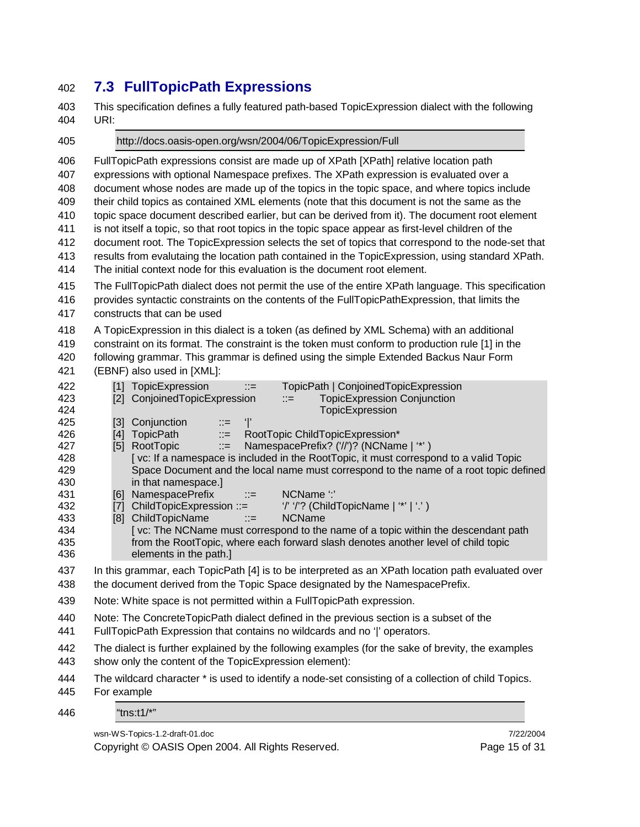#### **7.3 FullTopicPath Expressions**

 This specification defines a fully featured path-based TopicExpression dialect with the following URI:

 http://docs.oasis-open.org/wsn/2004/06/TopicExpression/Full FullTopicPath expressions consist are made up of XPath [XPath] relative location path expressions with optional Namespace prefixes. The XPath expression is evaluated over a document whose nodes are made up of the topics in the topic space, and where topics include their child topics as contained XML elements (note that this document is not the same as the topic space document described earlier, but can be derived from it). The document root element is not itself a topic, so that root topics in the topic space appear as first-level children of the document root. The TopicExpression selects the set of topics that correspond to the node-set that results from evalutaing the location path contained in the TopicExpression, using standard XPath. The initial context node for this evaluation is the document root element. The FullTopicPath dialect does not permit the use of the entire XPath language. This specification provides syntactic constraints on the contents of the FullTopicPathExpression, that limits the constructs that can be used A TopicExpression in this dialect is a token (as defined by XML Schema) with an additional constraint on its format. The constraint is the token must conform to production rule [1] in the following grammar. This grammar is defined using the simple Extended Backus Naur Form (EBNF) also used in [XML]: 422 [1] TopicExpression ::= TopicPath | ConjoinedTopicExpression [2] ConjoinedTopicExpression ::= TopicExpression Conjunction TopicExpression  $[3]$  Conjunction  $\therefore$   $\equiv$ 426 [4] TopicPath ::= RootTopic ChildTopicExpression\* 427 [5] RootTopic ::= NamespacePrefix? ('//')? (NCName | '\*' ) 428 [ vc: If a namespace is included in the RootTopic, it must correspond to a valid Topic Space Document and the local name must correspond to the name of a root topic defined in that namespace.] 431 [6] NamespacePrefix ::= NCName ':' 432 [7] ChildTopicExpression ::= '/' '/'? (ChildTopicName | '\*' | '.' ) [8] ChildTopicName ::= NCName [ vc: The NCName must correspond to the name of a topic within the descendant path from the RootTopic, where each forward slash denotes another level of child topic elements in the path.] In this grammar, each TopicPath [4] is to be interpreted as an XPath location path evaluated over the document derived from the Topic Space designated by the NamespacePrefix. Note: White space is not permitted within a FullTopicPath expression. Note: The ConcreteTopicPath dialect defined in the previous section is a subset of the FullTopicPath Expression that contains no wildcards and no '|' operators. The dialect is further explained by the following examples (for the sake of brevity, the examples show only the content of the TopicExpression element): The wildcard character \* is used to identify a node-set consisting of a collection of child Topics. For example "tns:t1/\*"

wsn-WS-Topics-1.2-draft-01.doc 7/22/2004

Copyright © OASIS Open 2004. All Rights Reserved. Page 15 of 31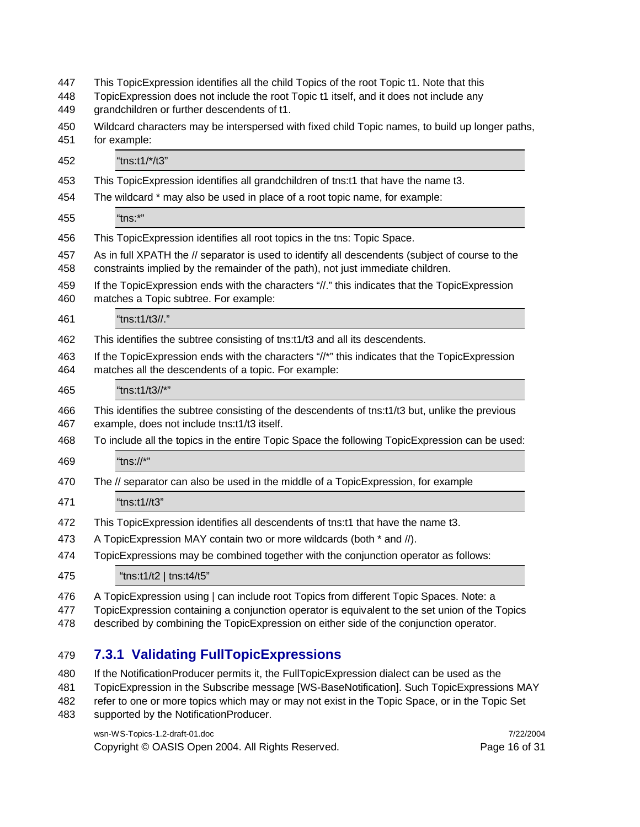| 447<br>448 | This TopicExpression identifies all the child Topics of the root Topic t1. Note that this<br>TopicExpression does not include the root Topic t1 itself, and it does not include any      |  |  |
|------------|------------------------------------------------------------------------------------------------------------------------------------------------------------------------------------------|--|--|
| 449        | grandchildren or further descendents of t1.                                                                                                                                              |  |  |
| 450<br>451 | Wildcard characters may be interspersed with fixed child Topic names, to build up longer paths,<br>for example:                                                                          |  |  |
| 452        | "tns:t1/*/t3"                                                                                                                                                                            |  |  |
| 453        | This TopicExpression identifies all grandchildren of tns:t1 that have the name t3.                                                                                                       |  |  |
| 454        | The wildcard * may also be used in place of a root topic name, for example:                                                                                                              |  |  |
| 455        | "tns:*"                                                                                                                                                                                  |  |  |
| 456        | This TopicExpression identifies all root topics in the tns: Topic Space.                                                                                                                 |  |  |
| 457<br>458 | As in full XPATH the // separator is used to identify all descendents (subject of course to the<br>constraints implied by the remainder of the path), not just immediate children.       |  |  |
| 459<br>460 | If the TopicExpression ends with the characters "//." this indicates that the TopicExpression<br>matches a Topic subtree. For example:                                                   |  |  |
| 461        | "tns:t1/t3//."                                                                                                                                                                           |  |  |
| 462        | This identifies the subtree consisting of tns:t1/t3 and all its descendents.                                                                                                             |  |  |
| 463<br>464 | If the TopicExpression ends with the characters "//*" this indicates that the TopicExpression<br>matches all the descendents of a topic. For example:                                    |  |  |
| 465        | "tns:t1/t3//*"                                                                                                                                                                           |  |  |
| 466<br>467 | This identifies the subtree consisting of the descendents of tns:t1/t3 but, unlike the previous<br>example, does not include tns:t1/t3 itself.                                           |  |  |
| 468        | To include all the topics in the entire Topic Space the following TopicExpression can be used:                                                                                           |  |  |
| 469        | "tns://*"                                                                                                                                                                                |  |  |
| 470        | The // separator can also be used in the middle of a TopicExpression, for example                                                                                                        |  |  |
| 471        | "tns:t1//t3"                                                                                                                                                                             |  |  |
| 472        | This TopicExpression identifies all descendents of tns:t1 that have the name t3.                                                                                                         |  |  |
| 473        | A TopicExpression MAY contain two or more wildcards (both * and //).                                                                                                                     |  |  |
| 474        | TopicExpressions may be combined together with the conjunction operator as follows:                                                                                                      |  |  |
| 475        | "tns:t1/t2   tns:t4/t5"                                                                                                                                                                  |  |  |
| 476<br>477 | A TopicExpression using   can include root Topics from different Topic Spaces. Note: a<br>TopicExpression containing a conjunction operator is equivalent to the set union of the Topics |  |  |

described by combining the TopicExpression on either side of the conjunction operator.

#### **7.3.1 Validating FullTopicExpressions**

- If the NotificationProducer permits it, the FullTopicExpression dialect can be used as the
- TopicExpression in the Subscribe message [WS-BaseNotification]. Such TopicExpressions MAY
- refer to one or more topics which may or may not exist in the Topic Space, or in the Topic Set supported by the NotificationProducer.
	-

Copyright © OASIS Open 2004. All Rights Reserved. Page 16 of 31

wsn-WS-Topics-1.2-draft-01.doc 7/22/2004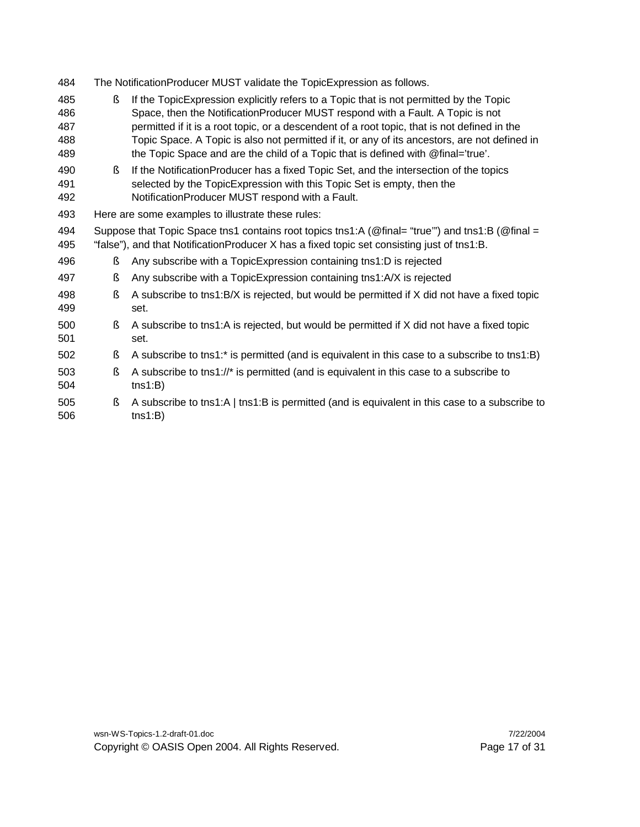- The NotificationProducer MUST validate the TopicExpression as follows.
- § If the TopicExpression explicitly refers to a Topic that is not permitted by the Topic Space, then the NotificationProducer MUST respond with a Fault. A Topic is not permitted if it is a root topic, or a descendent of a root topic, that is not defined in the Topic Space. A Topic is also not permitted if it, or any of its ancestors, are not defined in 489 the Topic Space and are the child of a Topic that is defined with @final='true'.
- § If the NotificationProducer has a fixed Topic Set, and the intersection of the topics selected by the TopicExpression with this Topic Set is empty, then the NotificationProducer MUST respond with a Fault.
- Here are some examples to illustrate these rules:
- Suppose that Topic Space tns1 contains root topics tns1:A (@final= "true'") and tns1:B (@final = "false"), and that NotificationProducer X has a fixed topic set consisting just of tns1:B.
- § Any subscribe with a TopicExpression containing tns1:D is rejected
- § Any subscribe with a TopicExpression containing tns1:A/X is rejected
- § A subscribe to tns1:B/X is rejected, but would be permitted if X did not have a fixed topic set.
- § A subscribe to tns1:A is rejected, but would be permitted if X did not have a fixed topic set.
- § A subscribe to tns1:\* is permitted (and is equivalent in this case to a subscribe to tns1:B)
- § A subscribe to tns1://\* is permitted (and is equivalent in this case to a subscribe to tns1:B)
- § A subscribe to tns1:A | tns1:B is permitted (and is equivalent in this case to a subscribe to tns1:B)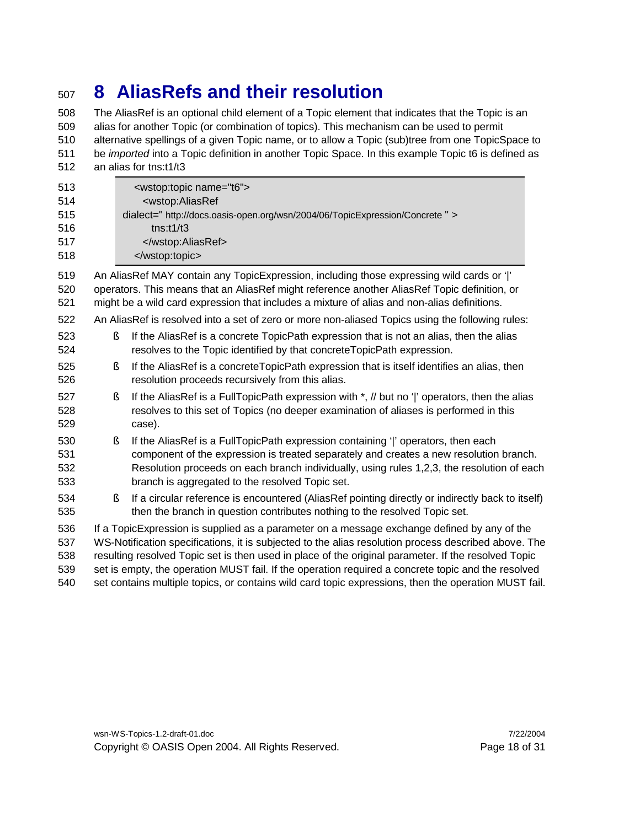### **8 AliasRefs and their resolution**

 The AliasRef is an optional child element of a Topic element that indicates that the Topic is an alias for another Topic (or combination of topics). This mechanism can be used to permit alternative spellings of a given Topic name, or to allow a Topic (sub)tree from one TopicSpace to be *imported* into a Topic definition in another Topic Space. In this example Topic t6 is defined as an alias for tns:t1/t3

| 513<br>514<br>515<br>516<br>517<br>518 | <wstop:topic name="t6"><br/><wstop:aliasref<br>dialect=" http://docs.oasis-open.org/wsn/2004/06/TopicExpression/Concrete " &gt;<br/><math>t</math>ns:<math>t1/t3</math><br/><br/></wstop:aliasref<br></wstop:topic>                                                                                                                                                                                                                                                                                                      |
|----------------------------------------|--------------------------------------------------------------------------------------------------------------------------------------------------------------------------------------------------------------------------------------------------------------------------------------------------------------------------------------------------------------------------------------------------------------------------------------------------------------------------------------------------------------------------|
| 519<br>520<br>521                      | An AliasRef MAY contain any TopicExpression, including those expressing wild cards or ' '<br>operators. This means that an AliasRef might reference another AliasRef Topic definition, or<br>might be a wild card expression that includes a mixture of alias and non-alias definitions.                                                                                                                                                                                                                                 |
| 522                                    | An AliasRef is resolved into a set of zero or more non-aliased Topics using the following rules:                                                                                                                                                                                                                                                                                                                                                                                                                         |
| 523<br>524                             | Ş<br>If the AliasRef is a concrete TopicPath expression that is not an alias, then the alias<br>resolves to the Topic identified by that concrete TopicPath expression.                                                                                                                                                                                                                                                                                                                                                  |
| 525<br>526                             | If the AliasRef is a concreteTopicPath expression that is itself identifies an alias, then<br>ş<br>resolution proceeds recursively from this alias.                                                                                                                                                                                                                                                                                                                                                                      |
| 527<br>528<br>529                      | If the AliasRef is a FullTopicPath expression with *, // but no ' ' operators, then the alias<br>ş<br>resolves to this set of Topics (no deeper examination of aliases is performed in this<br>case).                                                                                                                                                                                                                                                                                                                    |
| 530<br>531<br>532<br>533               | If the AliasRef is a FullTopicPath expression containing ' ' operators, then each<br>ş<br>component of the expression is treated separately and creates a new resolution branch.<br>Resolution proceeds on each branch individually, using rules 1,2,3, the resolution of each<br>branch is aggregated to the resolved Topic set.                                                                                                                                                                                        |
| 534<br>535                             | If a circular reference is encountered (AliasRef pointing directly or indirectly back to itself)<br>ş<br>then the branch in question contributes nothing to the resolved Topic set.                                                                                                                                                                                                                                                                                                                                      |
| 536<br>537<br>538<br>539<br>540        | If a TopicExpression is supplied as a parameter on a message exchange defined by any of the<br>WS-Notification specifications, it is subjected to the alias resolution process described above. The<br>resulting resolved Topic set is then used in place of the original parameter. If the resolved Topic<br>set is empty, the operation MUST fail. If the operation required a concrete topic and the resolved<br>set contains multiple topics, or contains wild card topic expressions, then the operation MUST fail. |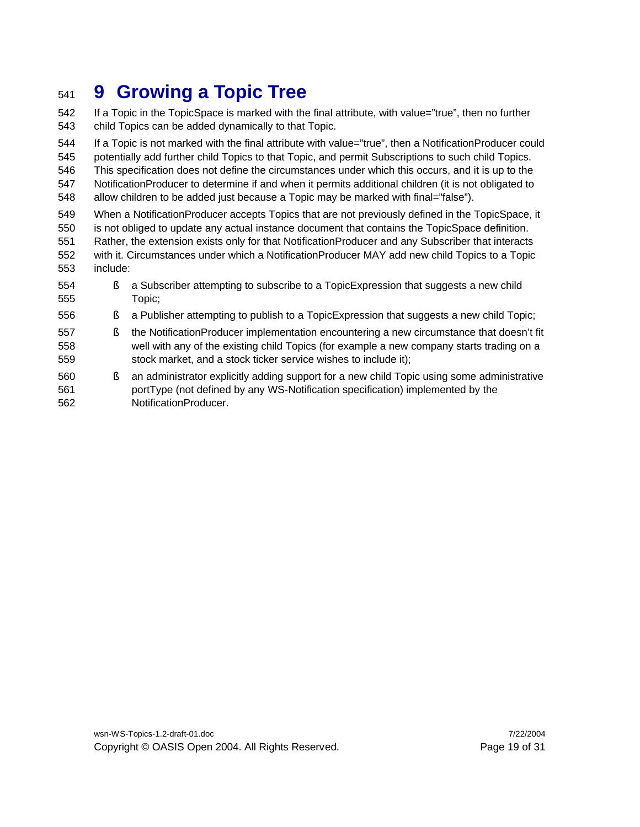## **9 Growing a Topic Tree**

 If a Topic in the TopicSpace is marked with the final attribute, with value="true", then no further child Topics can be added dynamically to that Topic.

 If a Topic is not marked with the final attribute with value="true", then a NotificationProducer could potentially add further child Topics to that Topic, and permit Subscriptions to such child Topics. This specification does not define the circumstances under which this occurs, and it is up to the

 NotificationProducer to determine if and when it permits additional children (it is not obligated to 548 allow children to be added just because a Topic may be marked with final="false").

- When a NotificationProducer accepts Topics that are not previously defined in the TopicSpace, it
- is not obliged to update any actual instance document that contains the TopicSpace definition.
- Rather, the extension exists only for that NotificationProducer and any Subscriber that interacts with it. Circumstances under which a NotificationProducer MAY add new child Topics to a Topic include:
- 554 § a Subscriber attempting to subscribe to a TopicExpression that suggests a new child Topic;
- § a Publisher attempting to publish to a TopicExpression that suggests a new child Topic;
- § the NotificationProducer implementation encountering a new circumstance that doesn't fit well with any of the existing child Topics (for example a new company starts trading on a stock market, and a stock ticker service wishes to include it);
- § an administrator explicitly adding support for a new child Topic using some administrative portType (not defined by any WS-Notification specification) implemented by the NotificationProducer.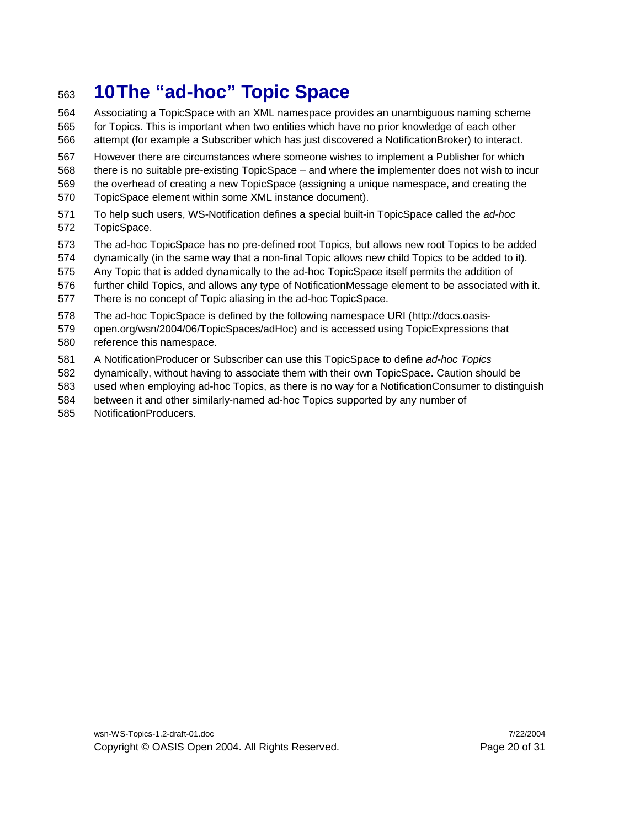# **10The "ad-hoc" Topic Space**

- Associating a TopicSpace with an XML namespace provides an unambiguous naming scheme for Topics. This is important when two entities which have no prior knowledge of each other attempt (for example a Subscriber which has just discovered a NotificationBroker) to interact.
- However there are circumstances where someone wishes to implement a Publisher for which there is no suitable pre-existing TopicSpace – and where the implementer does not wish to incur the overhead of creating a new TopicSpace (assigning a unique namespace, and creating the TopicSpace element within some XML instance document).
- To help such users, WS-Notification defines a special built-in TopicSpace called the *ad-hoc* TopicSpace.
- The ad-hoc TopicSpace has no pre-defined root Topics, but allows new root Topics to be added
- dynamically (in the same way that a non-final Topic allows new child Topics to be added to it).
- Any Topic that is added dynamically to the ad-hoc TopicSpace itself permits the addition of
- further child Topics, and allows any type of NotificationMessage element to be associated with it.
- There is no concept of Topic aliasing in the ad-hoc TopicSpace.
- The ad-hoc TopicSpace is defined by the following namespace URI (http://docs.oasis-
- open.org/wsn/2004/06/TopicSpaces/adHoc) and is accessed using TopicExpressions that reference this namespace.
- A NotificationProducer or Subscriber can use this TopicSpace to define *ad-hoc Topics*
- dynamically, without having to associate them with their own TopicSpace. Caution should be
- used when employing ad-hoc Topics, as there is no way for a NotificationConsumer to distinguish
- between it and other similarly-named ad-hoc Topics supported by any number of
- NotificationProducers.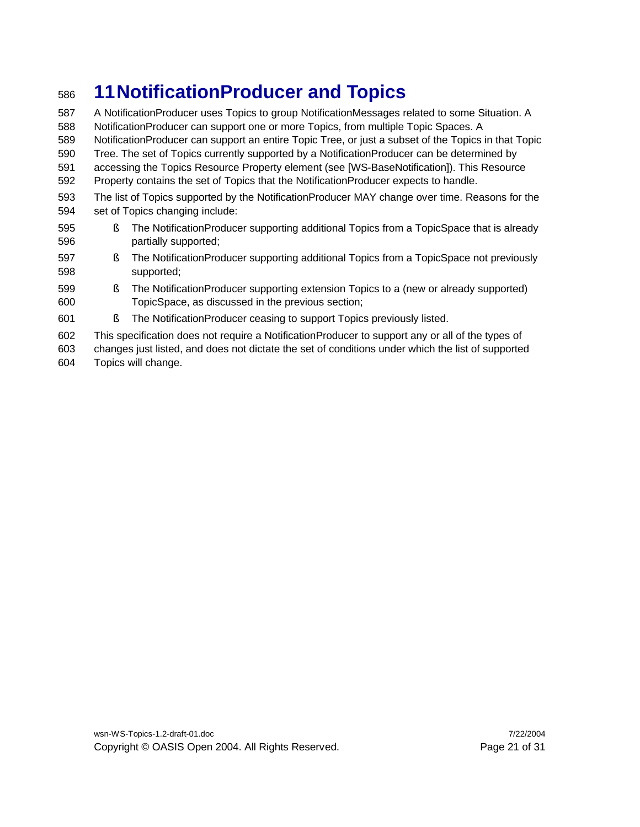# **11NotificationProducer and Topics**

 A NotificationProducer uses Topics to group NotificationMessages related to some Situation. A NotificationProducer can support one or more Topics, from multiple Topic Spaces. A NotificationProducer can support an entire Topic Tree, or just a subset of the Topics in that Topic Tree. The set of Topics currently supported by a NotificationProducer can be determined by accessing the Topics Resource Property element (see [WS-BaseNotification]). This Resource Property contains the set of Topics that the NotificationProducer expects to handle. The list of Topics supported by the NotificationProducer MAY change over time. Reasons for the set of Topics changing include: § The NotificationProducer supporting additional Topics from a TopicSpace that is already partially supported; § The NotificationProducer supporting additional Topics from a TopicSpace not previously

- supported;
- § The NotificationProducer supporting extension Topics to a (new or already supported) TopicSpace, as discussed in the previous section;
- § The NotificationProducer ceasing to support Topics previously listed.
- This specification does not require a NotificationProducer to support any or all of the types of
- changes just listed, and does not dictate the set of conditions under which the list of supported
- Topics will change.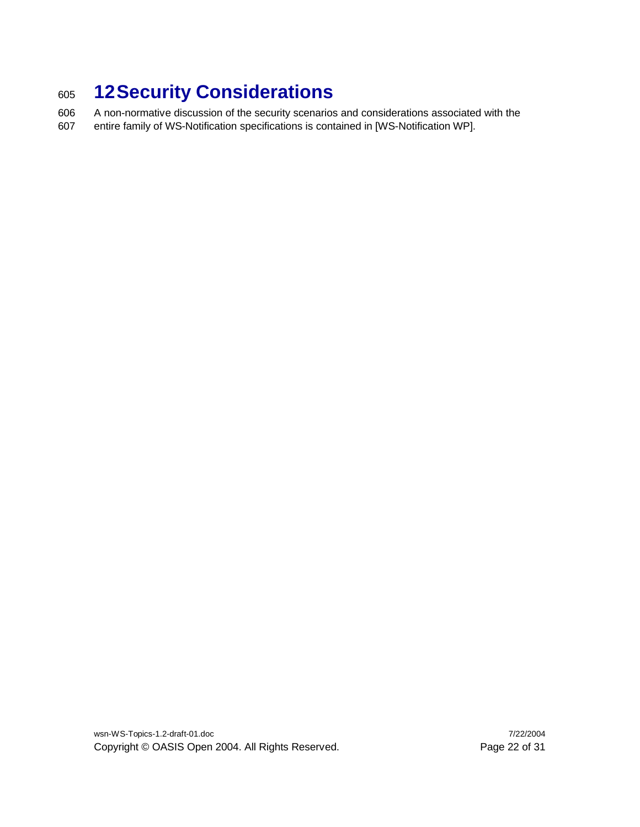# <sup>605</sup> **12Security Considerations**

606 A non-normative discussion of the security scenarios and considerations associated with the 607 entire family of WS-Notification specifications is contained in [WS-Notification WP].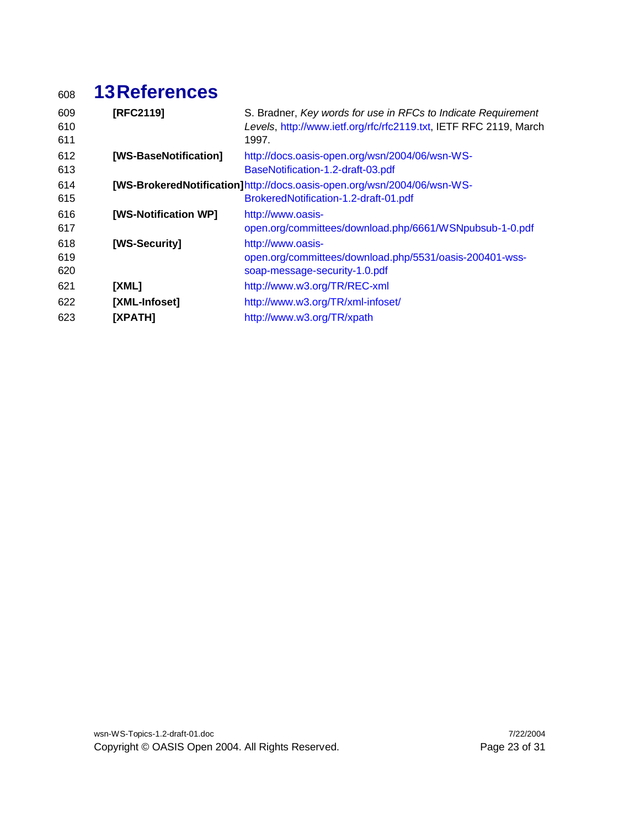# **13References**

| 609<br>610<br>611 | [RFC2119]             | S. Bradner, Key words for use in RFCs to Indicate Requirement<br>Levels, http://www.ietf.org/rfc/rfc2119.txt, IETF RFC 2119, March<br>1997. |
|-------------------|-----------------------|---------------------------------------------------------------------------------------------------------------------------------------------|
| 612<br>613        | [WS-BaseNotification] | http://docs.oasis-open.org/wsn/2004/06/wsn-WS-<br>BaseNotification-1.2-draft-03.pdf                                                         |
| 614<br>615        |                       | [WS-BrokeredNotification]http://docs.oasis-open.org/wsn/2004/06/wsn-WS-<br>BrokeredNotification-1.2-draft-01.pdf                            |
| 616<br>617        | [WS-Notification WP]  | http://www.oasis-<br>open.org/committees/download.php/6661/WSNpubsub-1-0.pdf                                                                |
| 618<br>619<br>620 | [WS-Security]         | http://www.oasis-<br>open.org/committees/download.php/5531/oasis-200401-wss-<br>soap-message-security-1.0.pdf                               |
| 621               | [XML]                 | http://www.w3.org/TR/REC-xml                                                                                                                |
| 622               | [XML-Infoset]         | http://www.w3.org/TR/xml-infoset/                                                                                                           |
| 623               | [XPATH]               | http://www.w3.org/TR/xpath                                                                                                                  |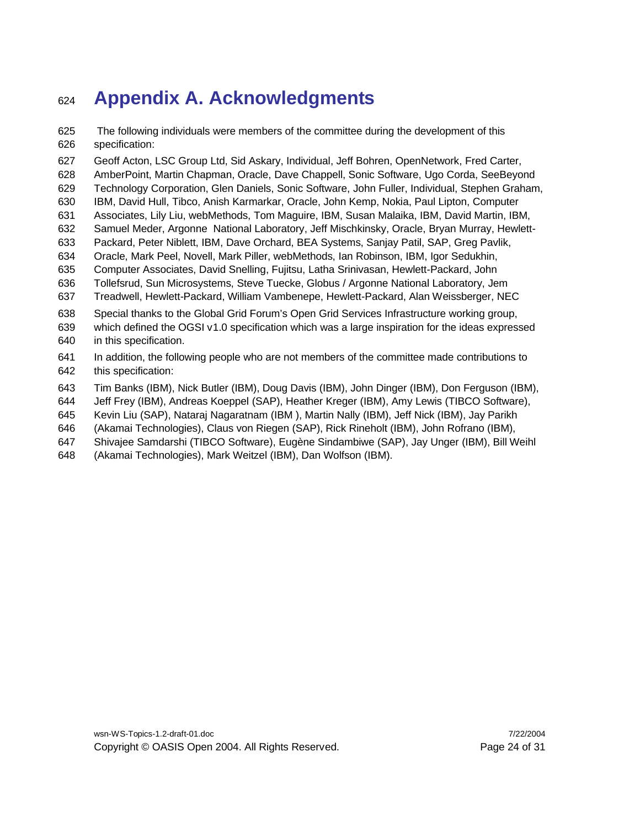### **Appendix A. Acknowledgments**

 The following individuals were members of the committee during the development of this specification:

Geoff Acton, LSC Group Ltd, Sid Askary, Individual, Jeff Bohren, OpenNetwork, Fred Carter,

- AmberPoint, Martin Chapman, Oracle, Dave Chappell, Sonic Software, Ugo Corda, SeeBeyond
- Technology Corporation, Glen Daniels, Sonic Software, John Fuller, Individual, Stephen Graham,
- IBM, David Hull, Tibco, Anish Karmarkar, Oracle, John Kemp, Nokia, Paul Lipton, Computer
- Associates, Lily Liu, webMethods, Tom Maguire, IBM, Susan Malaika, IBM, David Martin, IBM,
- Samuel Meder, Argonne National Laboratory, Jeff Mischkinsky, Oracle, Bryan Murray, Hewlett-
- Packard, Peter Niblett, IBM, Dave Orchard, BEA Systems, Sanjay Patil, SAP, Greg Pavlik,
- Oracle, Mark Peel, Novell, Mark Piller, webMethods, Ian Robinson, IBM, Igor Sedukhin,
- Computer Associates, David Snelling, Fujitsu, Latha Srinivasan, Hewlett-Packard, John
- Tollefsrud, Sun Microsystems, Steve Tuecke, Globus / Argonne National Laboratory, Jem
- Treadwell, Hewlett-Packard, William Vambenepe, Hewlett-Packard, Alan Weissberger, NEC
- Special thanks to the Global Grid Forum's Open Grid Services Infrastructure working group,
- which defined the OGSI v1.0 specification which was a large inspiration for the ideas expressed in this specification.
- In addition, the following people who are not members of the committee made contributions to this specification:
- Tim Banks (IBM), Nick Butler (IBM), Doug Davis (IBM), John Dinger (IBM), Don Ferguson (IBM),
- Jeff Frey (IBM), Andreas Koeppel (SAP), Heather Kreger (IBM), Amy Lewis (TIBCO Software),
- Kevin Liu (SAP), Nataraj Nagaratnam (IBM ), Martin Nally (IBM), Jeff Nick (IBM), Jay Parikh
- (Akamai Technologies), Claus von Riegen (SAP), Rick Rineholt (IBM), John Rofrano (IBM),
- Shivajee Samdarshi (TIBCO Software), Eugène Sindambiwe (SAP), Jay Unger (IBM), Bill Weihl
- (Akamai Technologies), Mark Weitzel (IBM), Dan Wolfson (IBM).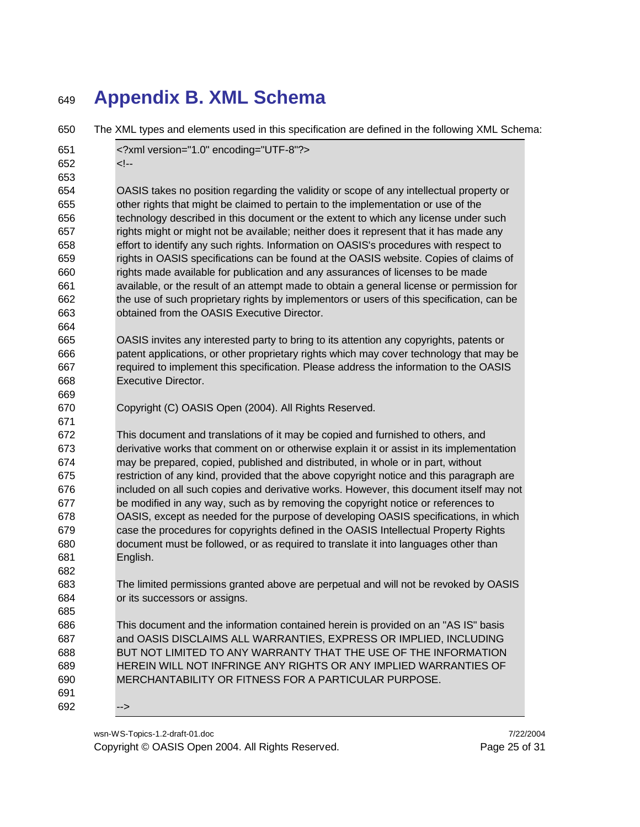# **Appendix B. XML Schema**

| 650 | The XML types and elements used in this specification are defined in the following XML Schema: |
|-----|------------------------------------------------------------------------------------------------|
| 651 | xml version="1.0" encoding="UTF-8"?                                                            |
| 652 | --!>                                                                                           |
| 653 |                                                                                                |
| 654 | OASIS takes no position regarding the validity or scope of any intellectual property or        |
| 655 | other rights that might be claimed to pertain to the implementation or use of the              |
| 656 | technology described in this document or the extent to which any license under such            |
| 657 | rights might or might not be available; neither does it represent that it has made any         |
| 658 | effort to identify any such rights. Information on OASIS's procedures with respect to          |
| 659 | rights in OASIS specifications can be found at the OASIS website. Copies of claims of          |
| 660 | rights made available for publication and any assurances of licenses to be made                |
| 661 | available, or the result of an attempt made to obtain a general license or permission for      |
| 662 | the use of such proprietary rights by implementors or users of this specification, can be      |
| 663 | obtained from the OASIS Executive Director.                                                    |
| 664 |                                                                                                |
| 665 | OASIS invites any interested party to bring to its attention any copyrights, patents or        |
| 666 | patent applications, or other proprietary rights which may cover technology that may be        |
| 667 | required to implement this specification. Please address the information to the OASIS          |
| 668 | <b>Executive Director.</b>                                                                     |
| 669 |                                                                                                |
| 670 | Copyright (C) OASIS Open (2004). All Rights Reserved.                                          |
| 671 |                                                                                                |
| 672 | This document and translations of it may be copied and furnished to others, and                |
| 673 | derivative works that comment on or otherwise explain it or assist in its implementation       |
| 674 | may be prepared, copied, published and distributed, in whole or in part, without               |
| 675 | restriction of any kind, provided that the above copyright notice and this paragraph are       |
| 676 | included on all such copies and derivative works. However, this document itself may not        |
| 677 | be modified in any way, such as by removing the copyright notice or references to              |
| 678 | OASIS, except as needed for the purpose of developing OASIS specifications, in which           |
| 679 | case the procedures for copyrights defined in the OASIS Intellectual Property Rights           |
| 680 | document must be followed, or as required to translate it into languages other than            |
| 681 | English.                                                                                       |
| 682 |                                                                                                |
| 683 | The limited permissions granted above are perpetual and will not be revoked by OASIS           |
| 684 | or its successors or assigns.                                                                  |
| 685 |                                                                                                |
| 686 | This document and the information contained herein is provided on an "AS IS" basis             |
| 687 | and OASIS DISCLAIMS ALL WARRANTIES, EXPRESS OR IMPLIED, INCLUDING                              |
| 688 | BUT NOT LIMITED TO ANY WARRANTY THAT THE USE OF THE INFORMATION                                |
| 689 | HEREIN WILL NOT INFRINGE ANY RIGHTS OR ANY IMPLIED WARRANTIES OF                               |
| 690 | MERCHANTABILITY OR FITNESS FOR A PARTICULAR PURPOSE.                                           |
| 691 |                                                                                                |
| 692 | -->                                                                                            |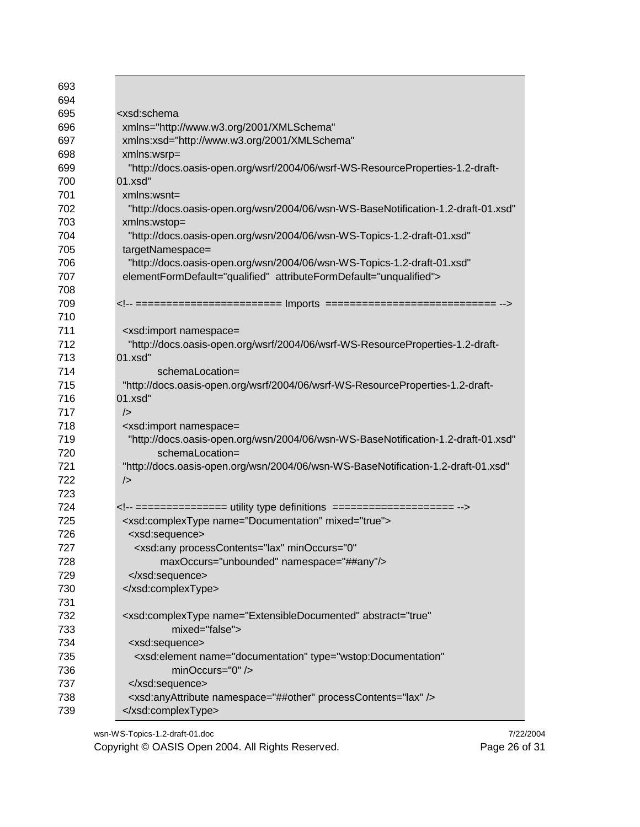| 693        |                                                                                            |
|------------|--------------------------------------------------------------------------------------------|
| 694        |                                                                                            |
| 695        | <xsd:schema< td=""></xsd:schema<>                                                          |
| 696        | xmlns="http://www.w3.org/2001/XMLSchema"                                                   |
| 697        | xmlns:xsd="http://www.w3.org/2001/XMLSchema"                                               |
| 698        | xmlns:wsrp=                                                                                |
| 699        | "http://docs.oasis-open.org/wsrf/2004/06/wsrf-WS-ResourceProperties-1.2-draft-             |
| 700        | 01.xsd"                                                                                    |
| 701        | $xmlns:wsnt =$                                                                             |
| 702        | "http://docs.oasis-open.org/wsn/2004/06/wsn-WS-BaseNotification-1.2-draft-01.xsd"          |
| 703        | xmlns:wstop=                                                                               |
| 704        | "http://docs.oasis-open.org/wsn/2004/06/wsn-WS-Topics-1.2-draft-01.xsd"                    |
| 705        | targetNamespace=                                                                           |
| 706        | "http://docs.oasis-open.org/wsn/2004/06/wsn-WS-Topics-1.2-draft-01.xsd"                    |
| 707        | elementFormDefault="qualified" attributeFormDefault="unqualified">                         |
| 708        |                                                                                            |
| 709        |                                                                                            |
| 710        |                                                                                            |
| 711        |                                                                                            |
| 712        | <xsd:import namespace="&lt;/td"></xsd:import>                                              |
| 713        | "http://docs.oasis-open.org/wsrf/2004/06/wsrf-WS-ResourceProperties-1.2-draft-<br>01.xsd"  |
| 714        |                                                                                            |
|            | schemaLocation=                                                                            |
| 715        | "http://docs.oasis-open.org/wsrf/2004/06/wsrf-WS-ResourceProperties-1.2-draft-             |
| 716        | 01.xsd"                                                                                    |
| 717        | $\rightarrow$                                                                              |
| 718        | <xsd:import namespace="&lt;/td"></xsd:import>                                              |
| 719        | "http://docs.oasis-open.org/wsn/2004/06/wsn-WS-BaseNotification-1.2-draft-01.xsd"          |
| 720        | schemaLocation=                                                                            |
| 721        | "http://docs.oasis-open.org/wsn/2004/06/wsn-WS-BaseNotification-1.2-draft-01.xsd"          |
| 722        | $\rightarrow$                                                                              |
| 723        |                                                                                            |
| 724        |                                                                                            |
| 725        | <xsd:complextype mixed="true" name="Documentation"></xsd:complextype>                      |
| 726        | <xsd:sequence></xsd:sequence>                                                              |
| 727        | <xsd:any <="" minoccurs="0" processcontents="lax" td=""></xsd:any>                         |
| 728        | maxOccurs="unbounded" namespace="##any"/>                                                  |
| 729        |                                                                                            |
| 730        |                                                                                            |
| 731        |                                                                                            |
| 732        | <xsd:complextype <="" abstract="true" name="ExtensibleDocumented" td=""></xsd:complextype> |
| 733        | mixed="false">                                                                             |
| 734        | <xsd:sequence></xsd:sequence>                                                              |
| 735        | <xsd:element <="" name="documentation" td="" type="wstop:Documentation"></xsd:element>     |
| 736        | minOccurs="0" />                                                                           |
|            |                                                                                            |
| 737        |                                                                                            |
| 738<br>739 | <xsd:anyattribute namespace="##other" processcontents="lax"></xsd:anyattribute><br>        |

wsn-WS-Topics-1.2-draft-01.doc 7/22/2004<br>Copyright © OASIS Open 2004. All Rights Reserved. Page 26 of 31 Copyright © OASIS Open 2004. All Rights Reserved.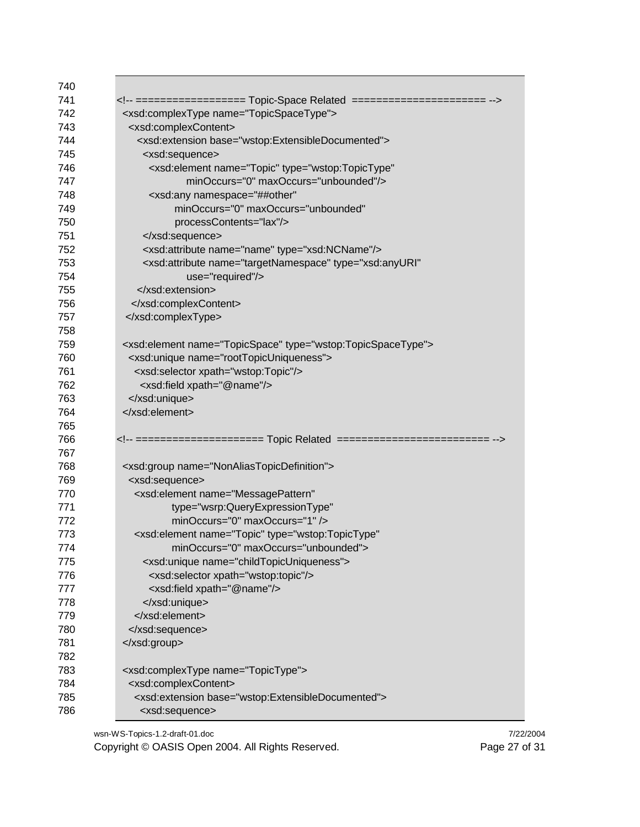| 740 |                                                                                     |
|-----|-------------------------------------------------------------------------------------|
| 741 | ================== Topic-Space Related =====================                        |
| 742 | <xsd:complextype name="TopicSpaceType"></xsd:complextype>                           |
| 743 | <xsd:complexcontent></xsd:complexcontent>                                           |
| 744 | <xsd:extension base="wstop:ExtensibleDocumented"></xsd:extension>                   |
| 745 | <xsd:sequence></xsd:sequence>                                                       |
| 746 | <xsd:element <="" name="Topic" td="" type="wstop:TopicType"></xsd:element>          |
| 747 | minOccurs="0" maxOccurs="unbounded"/>                                               |
| 748 | <xsd:any <="" namespace="##other" td=""></xsd:any>                                  |
| 749 | minOccurs="0" maxOccurs="unbounded"                                                 |
| 750 | processContents="lax"/>                                                             |
| 751 |                                                                                     |
| 752 | <xsd:attribute name="name" type="xsd:NCName"></xsd:attribute>                       |
| 753 | <xsd:attribute <="" name="targetNamespace" td="" type="xsd:anyURI"></xsd:attribute> |
| 754 | use="required"/>                                                                    |
| 755 |                                                                                     |
| 756 |                                                                                     |
| 757 |                                                                                     |
| 758 |                                                                                     |
| 759 | <xsd:element name="TopicSpace" type="wstop:TopicSpaceType"></xsd:element>           |
| 760 | <xsd:unique name="rootTopicUniqueness"></xsd:unique>                                |
| 761 | <xsd:selector xpath="wstop:Topic"></xsd:selector>                                   |
| 762 | <xsd:field xpath="@name"></xsd:field>                                               |
| 763 |                                                                                     |
| 764 |                                                                                     |
| 765 |                                                                                     |
| 766 |                                                                                     |
| 767 |                                                                                     |
| 768 | <xsd:group name="NonAliasTopicDefinition"></xsd:group>                              |
| 769 | <xsd:sequence></xsd:sequence>                                                       |
| 770 | <xsd:element <="" name="MessagePattern" td=""></xsd:element>                        |
| 771 | type="wsrp:QueryExpressionType"                                                     |
| 772 | minOccurs="0" maxOccurs="1" />                                                      |
| 773 | <xsd:element <="" name="Topic" td="" type="wstop:TopicType"></xsd:element>          |
| 774 | minOccurs="0" maxOccurs="unbounded">                                                |
| 775 | <xsd:unique name="childTopicUniqueness"></xsd:unique>                               |
| 776 | <xsd:selector xpath="wstop:topic"></xsd:selector>                                   |
| 777 | <xsd:field xpath="@name"></xsd:field>                                               |
| 778 |                                                                                     |
| 779 |                                                                                     |
| 780 |                                                                                     |
| 781 |                                                                                     |
| 782 |                                                                                     |
| 783 | <xsd:complextype name="TopicType"></xsd:complextype>                                |
| 784 | <xsd:complexcontent></xsd:complexcontent>                                           |
| 785 | <xsd:extension base="wstop:ExtensibleDocumented"></xsd:extension>                   |
| 786 | <xsd:sequence></xsd:sequence>                                                       |
|     |                                                                                     |

wsn-WS-Topics-1.2-draft-01.doc 7/22/2004<br>Copyright © OASIS Open 2004. All Rights Reserved. Page 27 of 31 Copyright © OASIS Open 2004. All Rights Reserved.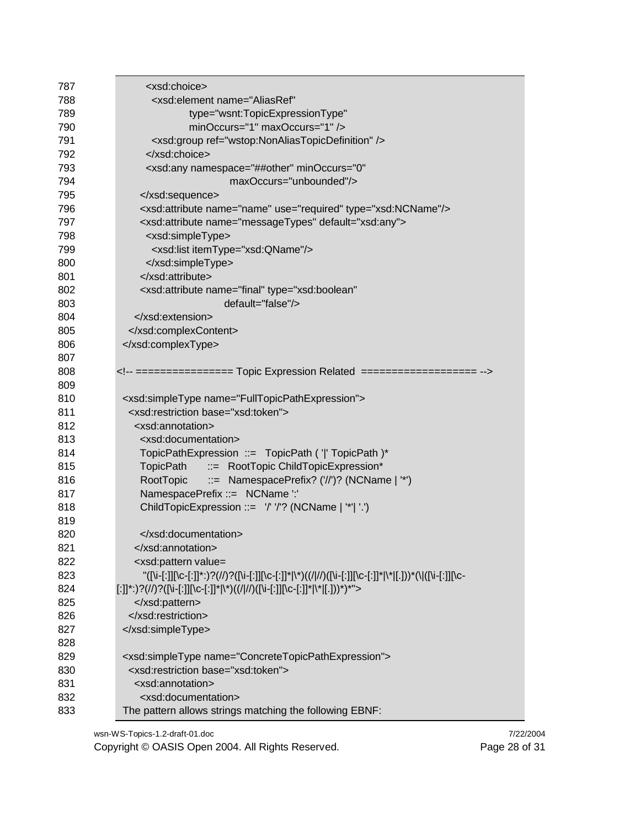| 787 | <xsd:choice></xsd:choice>                                                                            |
|-----|------------------------------------------------------------------------------------------------------|
| 788 | <xsd:element <="" name="AliasRef" td=""></xsd:element>                                               |
| 789 | type="wsnt:TopicExpressionType"                                                                      |
| 790 | minOccurs="1" maxOccurs="1" />                                                                       |
| 791 | <xsd:group ref="wstop:NonAliasTopicDefinition"></xsd:group>                                          |
| 792 |                                                                                                      |
| 793 | <xsd:any <="" minoccurs="0" namespace="##other" td=""></xsd:any>                                     |
| 794 | maxOccurs="unbounded"/>                                                                              |
| 795 |                                                                                                      |
| 796 | <xsd:attribute name="name" type="xsd:NCName" use="required"></xsd:attribute>                         |
| 797 | <xsd:attribute default="xsd:any" name="messageTypes"></xsd:attribute>                                |
| 798 | <xsd:simpletype></xsd:simpletype>                                                                    |
| 799 | <xsd:list itemtype="xsd:QName"></xsd:list>                                                           |
| 800 |                                                                                                      |
| 801 |                                                                                                      |
| 802 | <xsd:attribute <="" name="final" td="" type="xsd:boolean"></xsd:attribute>                           |
| 803 | default="false"/>                                                                                    |
| 804 |                                                                                                      |
| 805 |                                                                                                      |
| 806 |                                                                                                      |
| 807 |                                                                                                      |
| 808 | ================ Topic Expression Related ===================                                        |
| 809 |                                                                                                      |
| 810 | <xsd:simpletype name="FullTopicPathExpression"></xsd:simpletype>                                     |
| 811 | <xsd:restriction base="xsd:token"></xsd:restriction>                                                 |
| 812 | <xsd:annotation></xsd:annotation>                                                                    |
| 813 | <xsd:documentation></xsd:documentation>                                                              |
| 814 | TopicPathExpression ::= TopicPath (' ' TopicPath )*                                                  |
| 815 | ::= RootTopic ChildTopicExpression*<br>TopicPath                                                     |
| 816 | $\therefore$ NamespacePrefix? ('/')? (NCName   '*')<br>RootTopic                                     |
| 817 | NamespacePrefix ::= NCName ':'                                                                       |
| 818 | ChildTopicExpression ::= '/' '/'? (NCName   '*'  '.')                                                |
| 819 |                                                                                                      |
| 820 |                                                                                                      |
| 821 |                                                                                                      |
| 822 | <xsd:pattern value="&lt;/td"></xsd:pattern>                                                          |
| 823 | "([\i-[:]][\c-[:]]*:)?(//)?([\i-[:]][\c-[:]]* \*)((/ //)([\i-[:]][\c-[:]]* \* [.]))*(\ ([\i-[:]][\c- |
| 824 | [:]]*:)?(//)?([\i-[:]][\c-[:]]* \*)((/ //)([\i-[:]][\c-[:]]* \* [.]))*)*">                           |
| 825 |                                                                                                      |
| 826 |                                                                                                      |
| 827 |                                                                                                      |
| 828 |                                                                                                      |
| 829 | <xsd:simpletype name="ConcreteTopicPathExpression"></xsd:simpletype>                                 |
| 830 | <xsd:restriction base="xsd:token"></xsd:restriction>                                                 |
| 831 | <xsd:annotation></xsd:annotation>                                                                    |
| 832 | <xsd:documentation></xsd:documentation>                                                              |
| 833 | The pattern allows strings matching the following EBNF:                                              |

wsn-WS-Topics-1.2-draft-01.doc<br>
Copyright © OASIS Open 2004. All Rights Reserved.<br>
Page 28 of 31 Copyright © OASIS Open 2004. All Rights Reserved.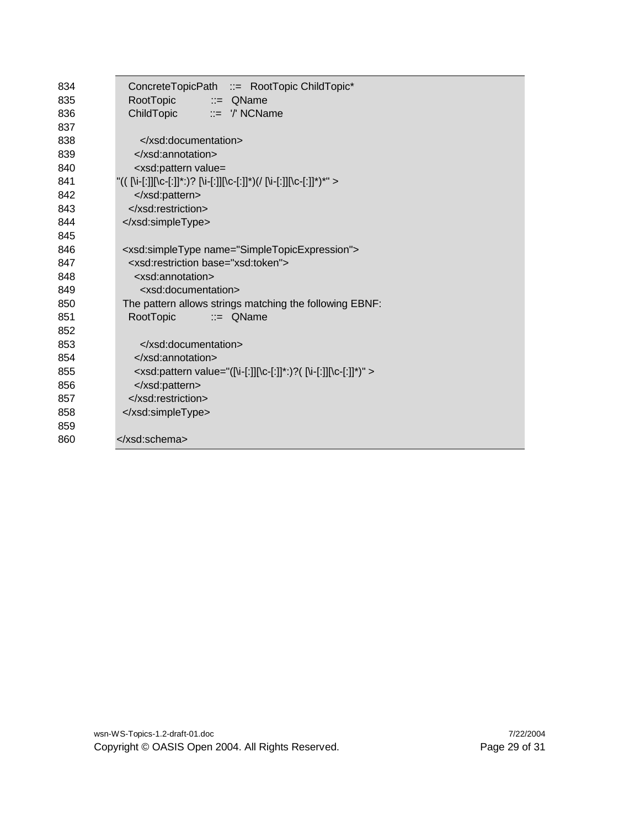| RootTopic<br>835<br>$\equiv$ QName<br>ChildTopic<br>$\equiv$ $\frac{1}{2}$ NCName<br>836<br>837<br>838<br><br>839<br><br>840<br><xsd:pattern value="&lt;br">"(( [\i-[:]][\c-[:]]*:)? [\i-[:]][\c-[:]]*)(/ [\i-[:]][\c-[:]]*)*" &gt;<br/>841<br/>842<br/></xsd:pattern><br><br>843<br>844<br><br>845<br>846<br><xsd:simpletype name="SimpleTopicExpression"><br/><xsd:restriction base="xsd:token"><br/>847<br/>848<br/><xsd:annotation><br/>849<br/><xsd:documentation><br/>850<br/>The pattern allows strings matching the following EBNF:<br/>851<br/>RootTopic<br/><math>\equiv</math> QName<br/>852<br/>853<br/></xsd:documentation><br/>854<br/><math>\le</math>/xsd:annotation&gt;<br/>855<br/><xsd:pattern value="([\i-[:]][\c-[:]]*:)?( [\i-[:]][\c-[:]]*)"><br/></xsd:pattern><br/>856<br/></xsd:annotation></xsd:restriction><br/>857<br/>858<br/></xsd:simpletype><br>859 | 834 | ConcreteTopicPath ::= RootTopic ChildTopic* |  |  |  |
|--------------------------------------------------------------------------------------------------------------------------------------------------------------------------------------------------------------------------------------------------------------------------------------------------------------------------------------------------------------------------------------------------------------------------------------------------------------------------------------------------------------------------------------------------------------------------------------------------------------------------------------------------------------------------------------------------------------------------------------------------------------------------------------------------------------------------------------------------------------------------------------|-----|---------------------------------------------|--|--|--|
|                                                                                                                                                                                                                                                                                                                                                                                                                                                                                                                                                                                                                                                                                                                                                                                                                                                                                      |     |                                             |  |  |  |
|                                                                                                                                                                                                                                                                                                                                                                                                                                                                                                                                                                                                                                                                                                                                                                                                                                                                                      |     |                                             |  |  |  |
|                                                                                                                                                                                                                                                                                                                                                                                                                                                                                                                                                                                                                                                                                                                                                                                                                                                                                      |     |                                             |  |  |  |
|                                                                                                                                                                                                                                                                                                                                                                                                                                                                                                                                                                                                                                                                                                                                                                                                                                                                                      |     |                                             |  |  |  |
|                                                                                                                                                                                                                                                                                                                                                                                                                                                                                                                                                                                                                                                                                                                                                                                                                                                                                      |     |                                             |  |  |  |
|                                                                                                                                                                                                                                                                                                                                                                                                                                                                                                                                                                                                                                                                                                                                                                                                                                                                                      |     |                                             |  |  |  |
|                                                                                                                                                                                                                                                                                                                                                                                                                                                                                                                                                                                                                                                                                                                                                                                                                                                                                      |     |                                             |  |  |  |
|                                                                                                                                                                                                                                                                                                                                                                                                                                                                                                                                                                                                                                                                                                                                                                                                                                                                                      |     |                                             |  |  |  |
|                                                                                                                                                                                                                                                                                                                                                                                                                                                                                                                                                                                                                                                                                                                                                                                                                                                                                      |     |                                             |  |  |  |
|                                                                                                                                                                                                                                                                                                                                                                                                                                                                                                                                                                                                                                                                                                                                                                                                                                                                                      |     |                                             |  |  |  |
|                                                                                                                                                                                                                                                                                                                                                                                                                                                                                                                                                                                                                                                                                                                                                                                                                                                                                      |     |                                             |  |  |  |
|                                                                                                                                                                                                                                                                                                                                                                                                                                                                                                                                                                                                                                                                                                                                                                                                                                                                                      |     |                                             |  |  |  |
|                                                                                                                                                                                                                                                                                                                                                                                                                                                                                                                                                                                                                                                                                                                                                                                                                                                                                      |     |                                             |  |  |  |
|                                                                                                                                                                                                                                                                                                                                                                                                                                                                                                                                                                                                                                                                                                                                                                                                                                                                                      |     |                                             |  |  |  |
|                                                                                                                                                                                                                                                                                                                                                                                                                                                                                                                                                                                                                                                                                                                                                                                                                                                                                      |     |                                             |  |  |  |
|                                                                                                                                                                                                                                                                                                                                                                                                                                                                                                                                                                                                                                                                                                                                                                                                                                                                                      |     |                                             |  |  |  |
|                                                                                                                                                                                                                                                                                                                                                                                                                                                                                                                                                                                                                                                                                                                                                                                                                                                                                      |     |                                             |  |  |  |
|                                                                                                                                                                                                                                                                                                                                                                                                                                                                                                                                                                                                                                                                                                                                                                                                                                                                                      |     |                                             |  |  |  |
|                                                                                                                                                                                                                                                                                                                                                                                                                                                                                                                                                                                                                                                                                                                                                                                                                                                                                      |     |                                             |  |  |  |
|                                                                                                                                                                                                                                                                                                                                                                                                                                                                                                                                                                                                                                                                                                                                                                                                                                                                                      |     |                                             |  |  |  |
|                                                                                                                                                                                                                                                                                                                                                                                                                                                                                                                                                                                                                                                                                                                                                                                                                                                                                      |     |                                             |  |  |  |
|                                                                                                                                                                                                                                                                                                                                                                                                                                                                                                                                                                                                                                                                                                                                                                                                                                                                                      |     |                                             |  |  |  |
|                                                                                                                                                                                                                                                                                                                                                                                                                                                                                                                                                                                                                                                                                                                                                                                                                                                                                      |     |                                             |  |  |  |
|                                                                                                                                                                                                                                                                                                                                                                                                                                                                                                                                                                                                                                                                                                                                                                                                                                                                                      |     |                                             |  |  |  |
|                                                                                                                                                                                                                                                                                                                                                                                                                                                                                                                                                                                                                                                                                                                                                                                                                                                                                      |     |                                             |  |  |  |
|                                                                                                                                                                                                                                                                                                                                                                                                                                                                                                                                                                                                                                                                                                                                                                                                                                                                                      | 860 |                                             |  |  |  |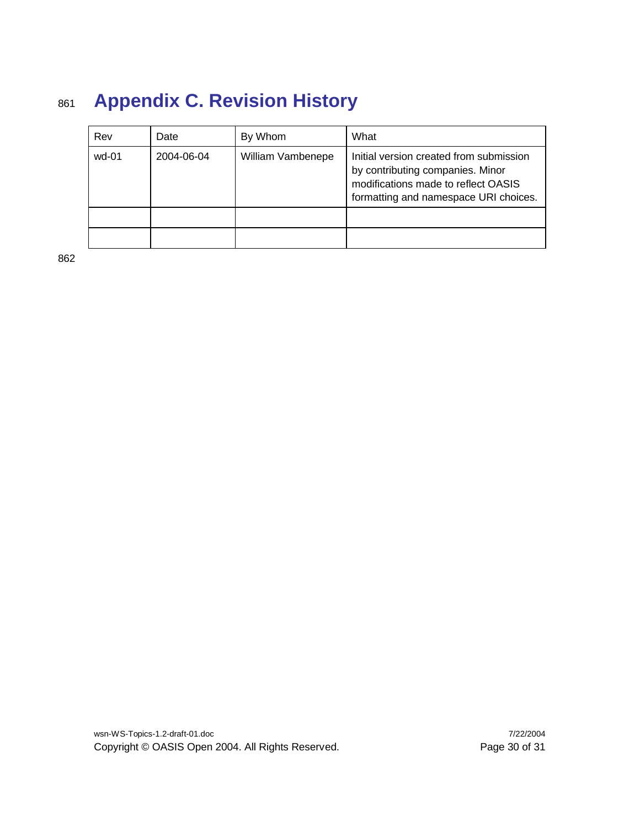# <sup>861</sup> **Appendix C. Revision History**

| Rev   | Date       | By Whom           | What                                                                                                                                                        |
|-------|------------|-------------------|-------------------------------------------------------------------------------------------------------------------------------------------------------------|
| wd-01 | 2004-06-04 | William Vambenepe | Initial version created from submission<br>by contributing companies. Minor<br>modifications made to reflect OASIS<br>formatting and namespace URI choices. |
|       |            |                   |                                                                                                                                                             |
|       |            |                   |                                                                                                                                                             |

862